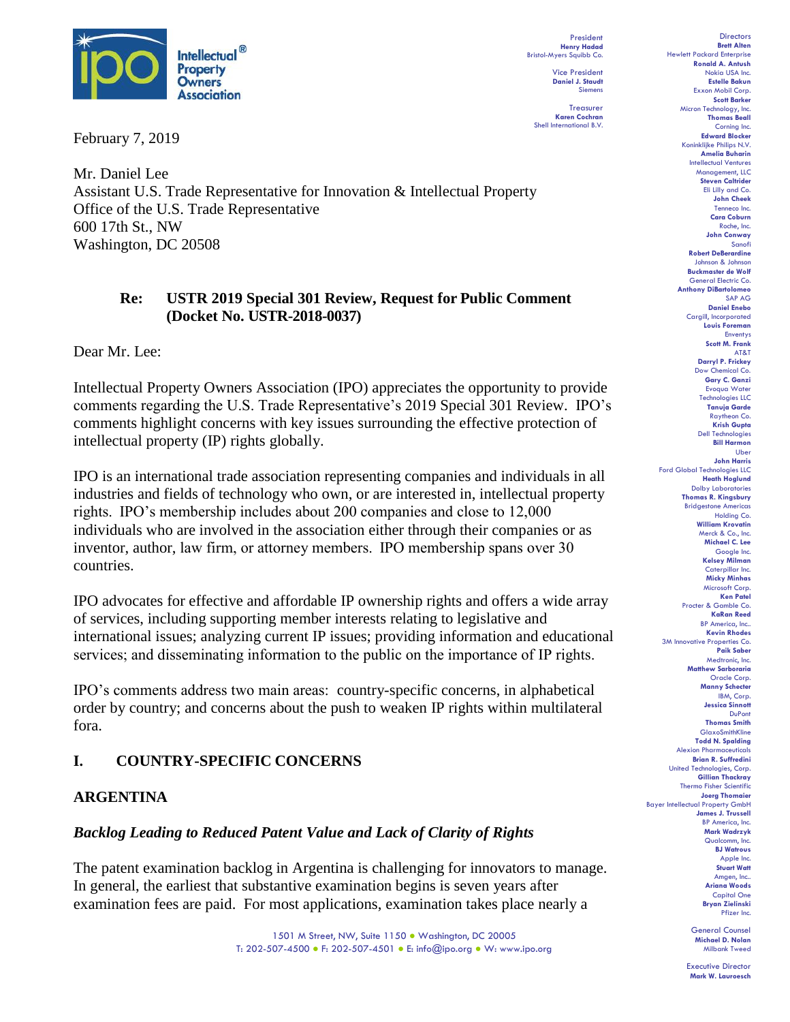

February 7, 2019

President **Henry Hadad** Bristol-Myers Squibb Co.

Vice President **Daniel J. Staudt** Siemens

**Treasurer Karen Cochran** Shell International B.V.

Mr. Daniel Lee Assistant U.S. Trade Representative for Innovation & Intellectual Property Office of the U.S. Trade Representative 600 17th St., NW Washington, DC 20508

### **Re: USTR 2019 Special 301 Review, Request for Public Comment (Docket No. USTR-2018-0037)**

Dear Mr. Lee:

Intellectual Property Owners Association (IPO) appreciates the opportunity to provide comments regarding the U.S. Trade Representative's 2019 Special 301 Review. IPO's comments highlight concerns with key issues surrounding the effective protection of intellectual property (IP) rights globally.

IPO is an international trade association representing companies and individuals in all industries and fields of technology who own, or are interested in, intellectual property rights.  IPO's membership includes about 200 companies and close to 12,000 individuals who are involved in the association either through their companies or as inventor, author, law firm, or attorney members.  IPO membership spans over 30 countries.

IPO advocates for effective and affordable IP ownership rights and offers a wide array of services, including supporting member interests relating to legislative and international issues; analyzing current IP issues; providing information and educational services; and disseminating information to the public on the importance of IP rights. 

IPO's comments address two main areas: country-specific concerns, in alphabetical order by country; and concerns about the push to weaken IP rights within multilateral fora.

# **I. COUNTRY-SPECIFIC CONCERNS**

### **ARGENTINA**

### *Backlog Leading to Reduced Patent Value and Lack of Clarity of Rights*

The patent examination backlog in Argentina is challenging for innovators to manage. In general, the earliest that substantive examination begins is seven years after examination fees are paid. For most applications, examination takes place nearly a

> 1501 M Street, NW, Suite 1150 ● Washington, DC 20005 T: 202-507-4500 ● F: 202-507-4501 ● E: info@ipo.org ● W: www.ipo.org

**Directors Brett Alten** Hewlett Packard Enterprise **Ronald A. Antush** Nokia USA Inc. **Estelle Bakun** Exxon Mobil Corp. **Scott Barker** Micron Technology, Inc. **Thomas Beall** Corning Inc. **Edward Blocker** Koninklijke Philips N.V. **Amelia Buharin** Intellectual Ventures Management, LLC **Steven Caltrider** Eli Lilly and Co. **John Cheek** Tenneco Inc. **Cara Coburn** Roche, Inc. **John Conway** Sanofi **Robert DeBerardine** Johnson & Johnson **Buckmaster de Wolf** General Electric Co. **Anthony DiBartolomeo** SAP AG **Daniel Enebo** Cargill, Incorporated **Louis Foreman** Enventys **Scott M. Frank** AT&T **Darryl P. Frickey** Dow Chemical Co. **Gary C. Ganzi** Evoqua Water Technologies LLC **Tanuja Garde** Raytheon Co. **Krish Gupta** Dell Technologies **Bill Harmon** Uber **John Harris** Ford Global Technologies LLC **Heath Hoglund** Dolby Laboratories **Thomas R. Kingsbury** Bridgestone Americas Holding Co. **William Krovatin** Merck & Co., Inc. **Michael C. Lee** Google Inc. **Kelsey Milman** Caterpillar Inc. **Micky Minhas** Microsoft Corp. **Ken Patel** Procter & Gamble Co. **KaRan Reed** BP America, Inc.. **Kevin Rhodes** 3M Innovative Properties Co. **Paik Saber** Medtronic, Inc. **Matthew Sarboraria** Oracle Corp. **Manny Schecter** IBM, Corp. **Jessica Sinnott** DuPont **Thomas Smith** GlaxoSmithKline **Todd N. Spalding** Alexion Pharmaceuticals **Brian R. Suffredini** United Technologies, Corp. **Gillian Thackray** Thermo Fisher Scientific **Joerg Thomaier** Bayer Intellectual Property GmbH **James J. Trussell** BP America, Inc. **Mark Wadrzyk** Qualcomm, Inc. **BJ Watrous** Apple Inc. **Stuart Watt** Amgen, Inc.. **Ariana Woods** Capital One **Bryan Zielinski** Pfizer Inc.

> General Counsel **Michael D. Nolan** Milbank Tweed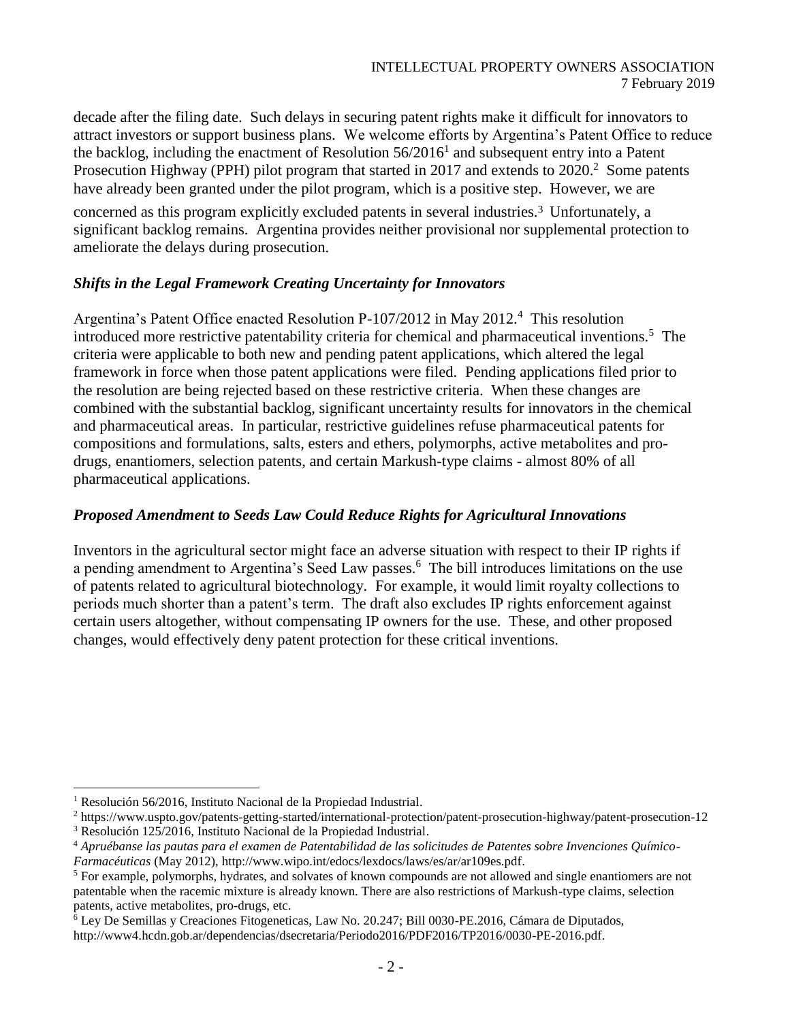decade after the filing date. Such delays in securing patent rights make it difficult for innovators to attract investors or support business plans. We welcome efforts by Argentina's Patent Office to reduce the backlog, including the enactment of Resolution  $56/2016<sup>1</sup>$  and subsequent entry into a Patent Prosecution Highway (PPH) pilot program that started in 2017 and extends to 2020.<sup>2</sup> Some patents have already been granted under the pilot program, which is a positive step. However, we are

concerned as this program explicitly excluded patents in several industries. <sup>3</sup> Unfortunately, a significant backlog remains. Argentina provides neither provisional nor supplemental protection to ameliorate the delays during prosecution.

#### *Shifts in the Legal Framework Creating Uncertainty for Innovators*

Argentina's Patent Office enacted Resolution P-107/2012 in May 2012. <sup>4</sup> This resolution introduced more restrictive patentability criteria for chemical and pharmaceutical inventions.<sup>5</sup> The criteria were applicable to both new and pending patent applications, which altered the legal framework in force when those patent applications were filed. Pending applications filed prior to the resolution are being rejected based on these restrictive criteria. When these changes are combined with the substantial backlog, significant uncertainty results for innovators in the chemical and pharmaceutical areas. In particular, restrictive guidelines refuse pharmaceutical patents for compositions and formulations, salts, esters and ethers, polymorphs, active metabolites and prodrugs, enantiomers, selection patents, and certain Markush-type claims - almost 80% of all pharmaceutical applications.

#### *Proposed Amendment to Seeds Law Could Reduce Rights for Agricultural Innovations*

Inventors in the agricultural sector might face an adverse situation with respect to their IP rights if a pending amendment to Argentina's Seed Law passes.<sup>6</sup> The bill introduces limitations on the use of patents related to agricultural biotechnology. For example, it would limit royalty collections to periods much shorter than a patent's term. The draft also excludes IP rights enforcement against certain users altogether, without compensating IP owners for the use. These, and other proposed changes, would effectively deny patent protection for these critical inventions.

<sup>&</sup>lt;sup>1</sup> Resolución 56/2016, Instituto Nacional de la Propiedad Industrial.

<sup>2</sup> <https://www.uspto.gov/patents-getting-started/international-protection/patent-prosecution-highway/patent-prosecution-12>

<sup>3</sup> Resolución 125/2016, Instituto Nacional de la Propiedad Industrial.

<sup>4</sup> *Apruébanse las pautas para el examen de Patentabilidad de las solicitudes de Patentes sobre Invenciones Químico-Farmacéuticas* (May 2012), [http://www.wipo.int/edocs/lexdocs/laws/es/ar/ar109es.pdf.](http://www.wipo.int/edocs/lexdocs/laws/es/ar/ar109es.pdf)

<sup>&</sup>lt;sup>5</sup> For example, polymorphs, hydrates, and solvates of known compounds are not allowed and single enantiomers are not patentable when the racemic mixture is already known. There are also restrictions of Markush-type claims, selection patents, active metabolites, pro-drugs, etc.

 $\overline{6}$  Ley De Semillas y Creaciones Fitogeneticas, Law No. 20.247; Bill 0030-PE.2016, Cámara de Diputados, [http://www4.hcdn.gob.ar/dependencias/dsecretaria/Periodo2016/PDF2016/TP2016/0030-PE-2016.pdf.](http://www4.hcdn.gob.ar/dependencias/dsecretaria/Periodo2016/PDF2016/TP2016/0030-PE-2016.pdf)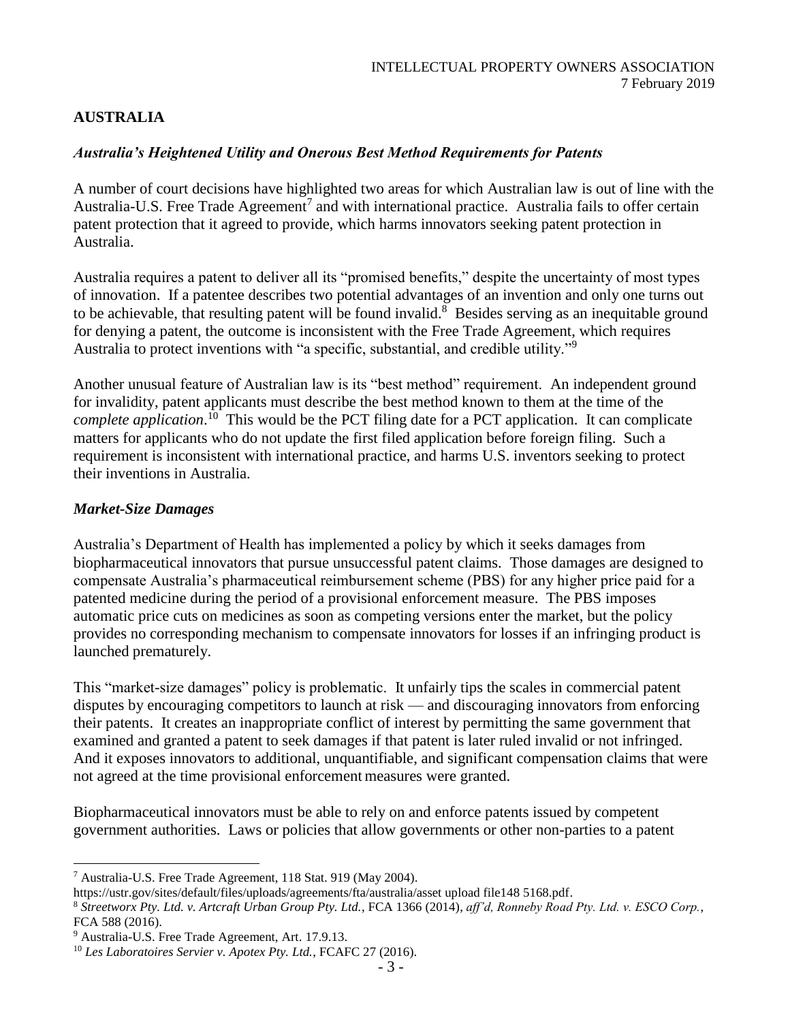# **AUSTRALIA**

## *Australia's Heightened Utility and Onerous Best Method Requirements for Patents*

A number of court decisions have highlighted two areas for which Australian law is out of line with the Australia-U.S. Free Trade Agreement<sup>7</sup> and with international practice. Australia fails to offer certain patent protection that it agreed to provide, which harms innovators seeking patent protection in Australia.

Australia requires a patent to deliver all its "promised benefits," despite the uncertainty of most types of innovation. If a patentee describes two potential advantages of an invention and only one turns out to be achievable, that resulting patent will be found invalid.<sup>8</sup> Besides serving as an inequitable ground for denying a patent, the outcome is inconsistent with the Free Trade Agreement, which requires Australia to protect inventions with "a specific, substantial, and credible utility."<sup>9</sup>

Another unusual feature of Australian law is its "best method" requirement. An independent ground for invalidity, patent applicants must describe the best method known to them at the time of the *complete application*. <sup>10</sup> This would be the PCT filing date for a PCT application. It can complicate matters for applicants who do not update the first filed application before foreign filing. Such a requirement is inconsistent with international practice, and harms U.S. inventors seeking to protect their inventions in Australia.

### *Market-Size Damages*

Australia's Department of Health has implemented a policy by which it seeks damages from biopharmaceutical innovators that pursue unsuccessful patent claims. Those damages are designed to compensate Australia's pharmaceutical reimbursement scheme (PBS) for any higher price paid for a patented medicine during the period of a provisional enforcement measure. The PBS imposes automatic price cuts on medicines as soon as competing versions enter the market, but the policy provides no corresponding mechanism to compensate innovators for losses if an infringing product is launched prematurely.

This "market-size damages" policy is problematic. It unfairly tips the scales in commercial patent disputes by encouraging competitors to launch at risk — and discouraging innovators from enforcing their patents. It creates an inappropriate conflict of interest by permitting the same government that examined and granted a patent to seek damages if that patent is later ruled invalid or not infringed. And it exposes innovators to additional, unquantifiable, and significant compensation claims that were not agreed at the time provisional enforcement measures were granted.

Biopharmaceutical innovators must be able to rely on and enforce patents issued by competent government authorities. Laws or policies that allow governments or other non-parties to a patent

l  $7$  Australia-U.S. Free Trade Agreement, 118 Stat. 919 (May 2004).

[https://ustr.gov/sites/default/files/uploads/agreements/fta/australia/asset upload file148 5168.pdf.](https://ustr.gov/sites/default/files/uploads/agreements/fta/australia/asset%20upload%20file148%205168.pdf)

<sup>8</sup> *Streetworx Pty. Ltd. v. Artcraft Urban Group Pty. Ltd.*, FCA 1366 (2014), *aff'd, Ronneby Road Pty. Ltd. v. ESCO Corp.*, FCA 588 (2016).

<sup>&</sup>lt;sup>9</sup> Australia-U.S. Free Trade Agreement, Art. 17.9.13.

<sup>10</sup> *Les Laboratoires Servier v. Apotex Pty. Ltd.*, FCAFC 27 (2016).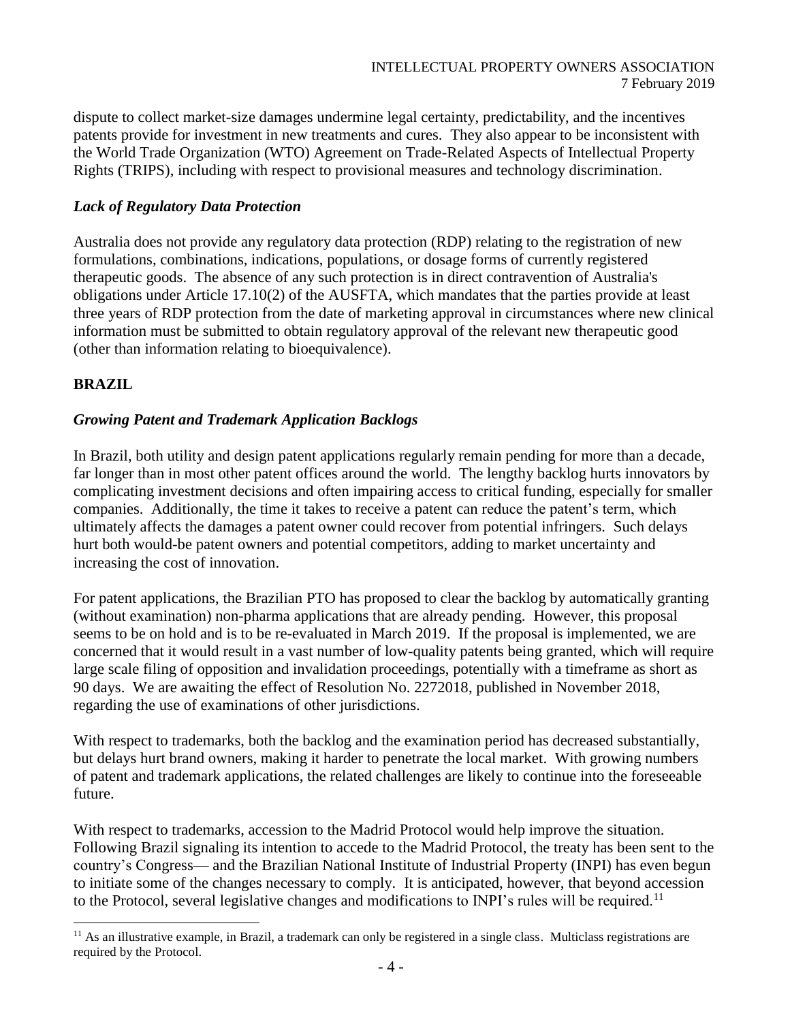dispute to collect market-size damages undermine legal certainty, predictability, and the incentives patents provide for investment in new treatments and cures. They also appear to be inconsistent with the World Trade Organization (WTO) Agreement on Trade-Related Aspects of Intellectual Property Rights (TRIPS), including with respect to provisional measures and technology discrimination.

### *Lack of Regulatory Data Protection*

Australia does not provide any regulatory data protection (RDP) relating to the registration of new formulations, combinations, indications, populations, or dosage forms of currently registered therapeutic goods. The absence of any such protection is in direct contravention of Australia's obligations under Article 17.10(2) of the AUSFTA, which mandates that the parties provide at least three years of RDP protection from the date of marketing approval in circumstances where new clinical information must be submitted to obtain regulatory approval of the relevant new therapeutic good (other than information relating to bioequivalence).

# **BRAZIL**

l

# *Growing Patent and Trademark Application Backlogs*

In Brazil, both utility and design patent applications regularly remain pending for more than a decade, far longer than in most other patent offices around the world. The lengthy backlog hurts innovators by complicating investment decisions and often impairing access to critical funding, especially for smaller companies. Additionally, the time it takes to receive a patent can reduce the patent's term, which ultimately affects the damages a patent owner could recover from potential infringers. Such delays hurt both would-be patent owners and potential competitors, adding to market uncertainty and increasing the cost of innovation.

For patent applications, the Brazilian PTO has proposed to clear the backlog by automatically granting (without examination) non-pharma applications that are already pending. However, this proposal seems to be on hold and is to be re-evaluated in March 2019. If the proposal is implemented, we are concerned that it would result in a vast number of low-quality patents being granted, which will require large scale filing of opposition and invalidation proceedings, potentially with a timeframe as short as 90 days. We are awaiting the effect of Resolution No. 2272018, published in November 2018, regarding the use of examinations of other jurisdictions.

With respect to trademarks, both the backlog and the examination period has decreased substantially, but delays hurt brand owners, making it harder to penetrate the local market. With growing numbers of patent and trademark applications, the related challenges are likely to continue into the foreseeable future.

With respect to trademarks, accession to the Madrid Protocol would help improve the situation. Following Brazil signaling its intention to accede to the Madrid Protocol, the treaty has been sent to the country's Congress— and the Brazilian National Institute of Industrial Property (INPI) has even begun to initiate some of the changes necessary to comply. It is anticipated, however, that beyond accession to the Protocol, several legislative changes and modifications to INPI's rules will be required.<sup>11</sup>

<sup>&</sup>lt;sup>11</sup> As an illustrative example, in Brazil, a trademark can only be registered in a single class. Multiclass registrations are required by the Protocol.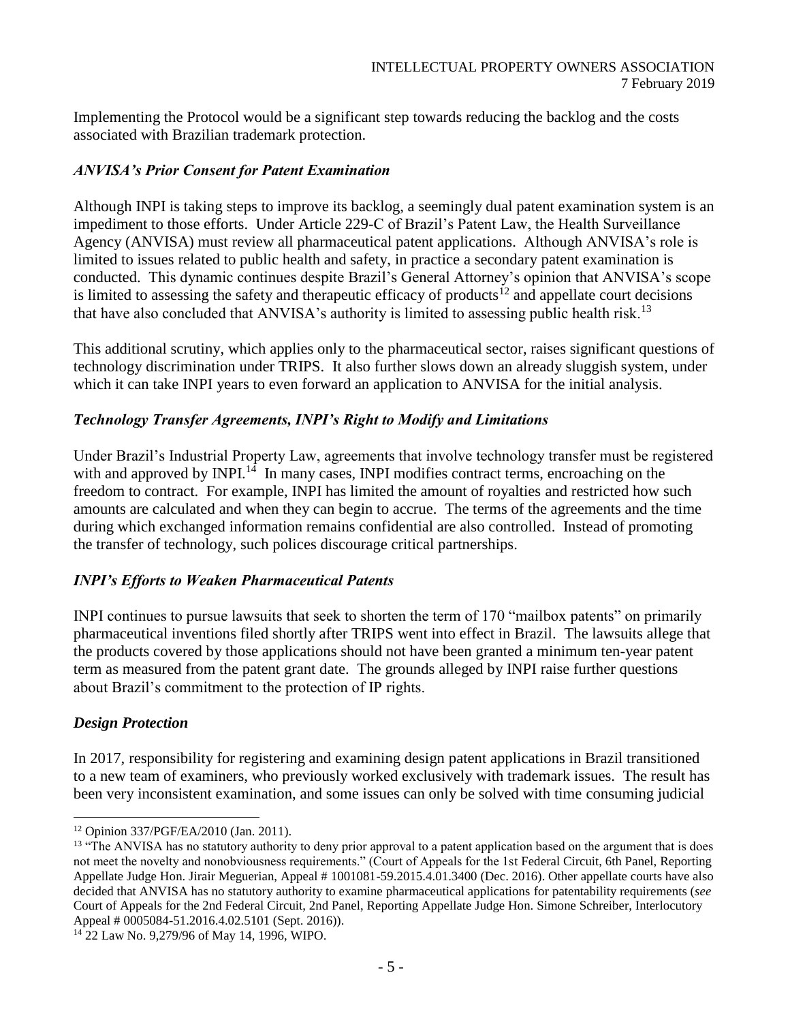Implementing the Protocol would be a significant step towards reducing the backlog and the costs associated with Brazilian trademark protection.

## *ANVISA's Prior Consent for Patent Examination*

Although INPI is taking steps to improve its backlog, a seemingly dual patent examination system is an impediment to those efforts. Under Article 229-C of Brazil's Patent Law, the Health Surveillance Agency (ANVISA) must review all pharmaceutical patent applications. Although ANVISA's role is limited to issues related to public health and safety, in practice a secondary patent examination is conducted. This dynamic continues despite Brazil's General Attorney's opinion that ANVISA's scope is limited to assessing the safety and therapeutic efficacy of products<sup>12</sup> and appellate court decisions that have also concluded that ANVISA's authority is limited to assessing public health risk.<sup>13</sup>

This additional scrutiny, which applies only to the pharmaceutical sector, raises significant questions of technology discrimination under TRIPS. It also further slows down an already sluggish system, under which it can take INPI years to even forward an application to ANVISA for the initial analysis.

## *Technology Transfer Agreements, INPI's Right to Modify and Limitations*

Under Brazil's Industrial Property Law, agreements that involve technology transfer must be registered with and approved by INPI $^{14}$  In many cases, INPI modifies contract terms, encroaching on the freedom to contract. For example, INPI has limited the amount of royalties and restricted how such amounts are calculated and when they can begin to accrue. The terms of the agreements and the time during which exchanged information remains confidential are also controlled. Instead of promoting the transfer of technology, such polices discourage critical partnerships.

### *INPI's Efforts to Weaken Pharmaceutical Patents*

INPI continues to pursue lawsuits that seek to shorten the term of 170 "mailbox patents" on primarily pharmaceutical inventions filed shortly after TRIPS went into effect in Brazil. The lawsuits allege that the products covered by those applications should not have been granted a minimum ten-year patent term as measured from the patent grant date. The grounds alleged by INPI raise further questions about Brazil's commitment to the protection of IP rights.

### *Design Protection*

In 2017, responsibility for registering and examining design patent applications in Brazil transitioned to a new team of examiners, who previously worked exclusively with trademark issues. The result has been very inconsistent examination, and some issues can only be solved with time consuming judicial

l <sup>12</sup> Opinion 337/PGF/EA/2010 (Jan. 2011).

<sup>&</sup>lt;sup>13</sup> "The ANVISA has no statutory authority to deny prior approval to a patent application based on the argument that is does not meet the novelty and nonobviousness requirements." (Court of Appeals for the 1st Federal Circuit, 6th Panel, Reporting Appellate Judge Hon. Jirair Meguerian, Appeal # 1001081-59.2015.4.01.3400 (Dec. 2016). Other appellate courts have also decided that ANVISA has no statutory authority to examine pharmaceutical applications for patentability requirements (*see*  Court of Appeals for the 2nd Federal Circuit, 2nd Panel, Reporting Appellate Judge Hon. Simone Schreiber, Interlocutory Appeal # 0005084-51.2016.4.02.5101 (Sept. 2016)).

<sup>&</sup>lt;sup>14</sup> 22 Law No. 9,279/96 of May 14, 1996, WIPO.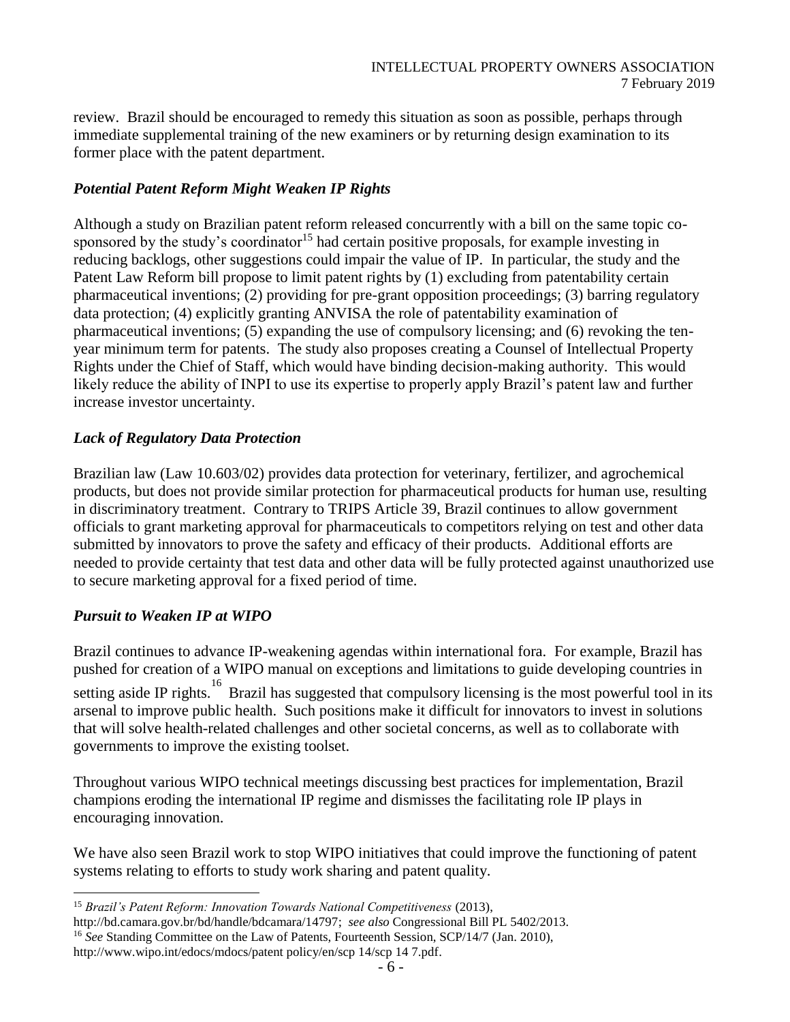review. Brazil should be encouraged to remedy this situation as soon as possible, perhaps through immediate supplemental training of the new examiners or by returning design examination to its former place with the patent department.

### *Potential Patent Reform Might Weaken IP Rights*

Although a study on Brazilian patent reform released concurrently with a bill on the same topic cosponsored by the study's coordinator<sup>15</sup> had certain positive proposals, for example investing in reducing backlogs, other suggestions could impair the value of IP. In particular, the study and the Patent Law Reform bill propose to limit patent rights by (1) excluding from patentability certain pharmaceutical inventions; (2) providing for pre-grant opposition proceedings; (3) barring regulatory data protection; (4) explicitly granting ANVISA the role of patentability examination of pharmaceutical inventions; (5) expanding the use of compulsory licensing; and (6) revoking the tenyear minimum term for patents. The study also proposes creating a Counsel of Intellectual Property Rights under the Chief of Staff, which would have binding decision-making authority. This would likely reduce the ability of INPI to use its expertise to properly apply Brazil's patent law and further increase investor uncertainty.

### *Lack of Regulatory Data Protection*

Brazilian law (Law 10.603/02) provides data protection for veterinary, fertilizer, and agrochemical products, but does not provide similar protection for pharmaceutical products for human use, resulting in discriminatory treatment. Contrary to TRIPS Article 39, Brazil continues to allow government officials to grant marketing approval for pharmaceuticals to competitors relying on test and other data submitted by innovators to prove the safety and efficacy of their products. Additional efforts are needed to provide certainty that test data and other data will be fully protected against unauthorized use to secure marketing approval for a fixed period of time.

# *Pursuit to Weaken IP at WIPO*

l

Brazil continues to advance IP-weakening agendas within international fora. For example, Brazil has pushed for creation of a WIPO manual on exceptions and limitations to guide developing countries in setting aside IP rights. <sup>16</sup> Brazil has suggested that compulsory licensing is the most powerful tool in its arsenal to improve public health. Such positions make it difficult for innovators to invest in solutions that will solve health-related challenges and other societal concerns, as well as to collaborate with governments to improve the existing toolset.

Throughout various WIPO technical meetings discussing best practices for implementation, Brazil champions eroding the international IP regime and dismisses the facilitating role IP plays in encouraging innovation.

We have also seen Brazil work to stop WIPO initiatives that could improve the functioning of patent systems relating to efforts to study work sharing and patent quality.

<sup>15</sup> *Brazil's Patent Reform: Innovation Towards National Competitiveness* (2013),

[http://bd.camara.gov.br/bd/handle/bdcamara/14797;](http://bd.camara.gov.br/bd/handle/bdcamara/14797) *see also* Congressional Bill PL 5402/2013.

<sup>&</sup>lt;sup>16</sup> *See* Standing Committee on the Law of Patents, Fourteenth Session, SCP/14/7 (Jan. 2010),

[http://www.wipo.int/edocs/mdocs/patent policy/en/scp 14/scp 14 7.pdf.](http://www.wipo.int/edocs/mdocs/patent%20policy/en/scp%2014/scp%2014%207.pdf)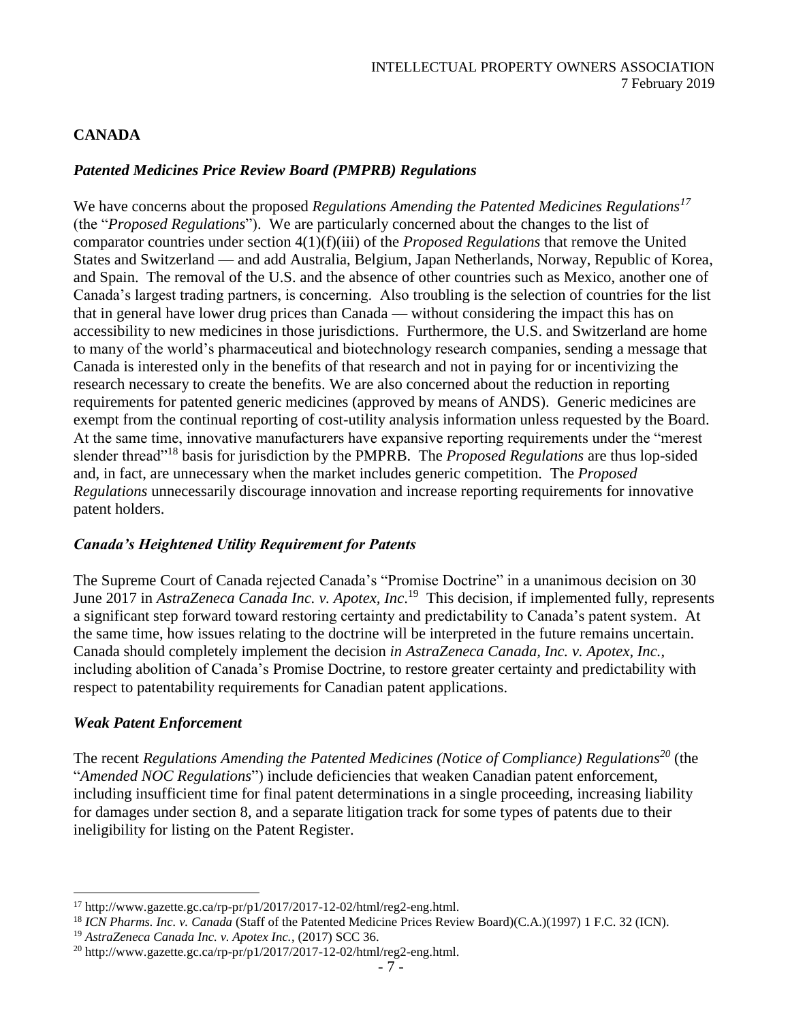### **CANADA**

### *Patented Medicines Price Review Board (PMPRB) Regulations*

We have concerns about the proposed *Regulations Amending the Patented Medicines Regulations<sup>17</sup>* (the "*Proposed Regulations*"). We are particularly concerned about the changes to the list of comparator countries under section 4(1)(f)(iii) of the *Proposed Regulations* that remove the United States and Switzerland — and add Australia, Belgium, Japan Netherlands, Norway, Republic of Korea, and Spain. The removal of the U.S. and the absence of other countries such as Mexico, another one of Canada's largest trading partners, is concerning. Also troubling is the selection of countries for the list that in general have lower drug prices than Canada — without considering the impact this has on accessibility to new medicines in those jurisdictions. Furthermore, the U.S. and Switzerland are home to many of the world's pharmaceutical and biotechnology research companies, sending a message that Canada is interested only in the benefits of that research and not in paying for or incentivizing the research necessary to create the benefits. We are also concerned about the reduction in reporting requirements for patented generic medicines (approved by means of ANDS). Generic medicines are exempt from the continual reporting of cost-utility analysis information unless requested by the Board. At the same time, innovative manufacturers have expansive reporting requirements under the "merest slender thread"<sup>18</sup> basis for jurisdiction by the PMPRB. The *Proposed Regulations* are thus lop-sided and, in fact, are unnecessary when the market includes generic competition. The *Proposed Regulations* unnecessarily discourage innovation and increase reporting requirements for innovative patent holders.

#### *Canada's Heightened Utility Requirement for Patents*

The Supreme Court of Canada rejected Canada's "Promise Doctrine" in a unanimous decision on 30 June 2017 in *AstraZeneca Canada Inc. v. Apotex, Inc*. 19 This decision, if implemented fully, represents a significant step forward toward restoring certainty and predictability to Canada's patent system. At the same time, how issues relating to the doctrine will be interpreted in the future remains uncertain. Canada should completely implement the decision *in AstraZeneca Canada, Inc. v. Apotex, Inc.*, including abolition of Canada's Promise Doctrine, to restore greater certainty and predictability with respect to patentability requirements for Canadian patent applications.

#### *Weak Patent Enforcement*

l

The recent *Regulations Amending the Patented Medicines (Notice of Compliance) Regulations<sup>20</sup>* (the "*Amended NOC Regulations*") include deficiencies that weaken Canadian patent enforcement, including insufficient time for final patent determinations in a single proceeding, increasing liability for damages under section 8, and a separate litigation track for some types of patents due to their ineligibility for listing on the Patent Register.

<sup>17</sup> http://www.gazette.gc.ca/rp-pr/p1/2017/2017-12-02/html/reg2-eng.html.

<sup>18</sup> *ICN Pharms. Inc. v. Canada* (Staff of the Patented Medicine Prices Review Board)(C.A.)(1997) 1 F.C. 32 (ICN).

<sup>19</sup> *AstraZeneca Canada Inc. v. Apotex Inc.*, (2017) SCC 36.

 $^{20}$  http://www.gazette.gc.ca/rp-pr/p1/2017/2017-12-02/html/reg2-eng.html.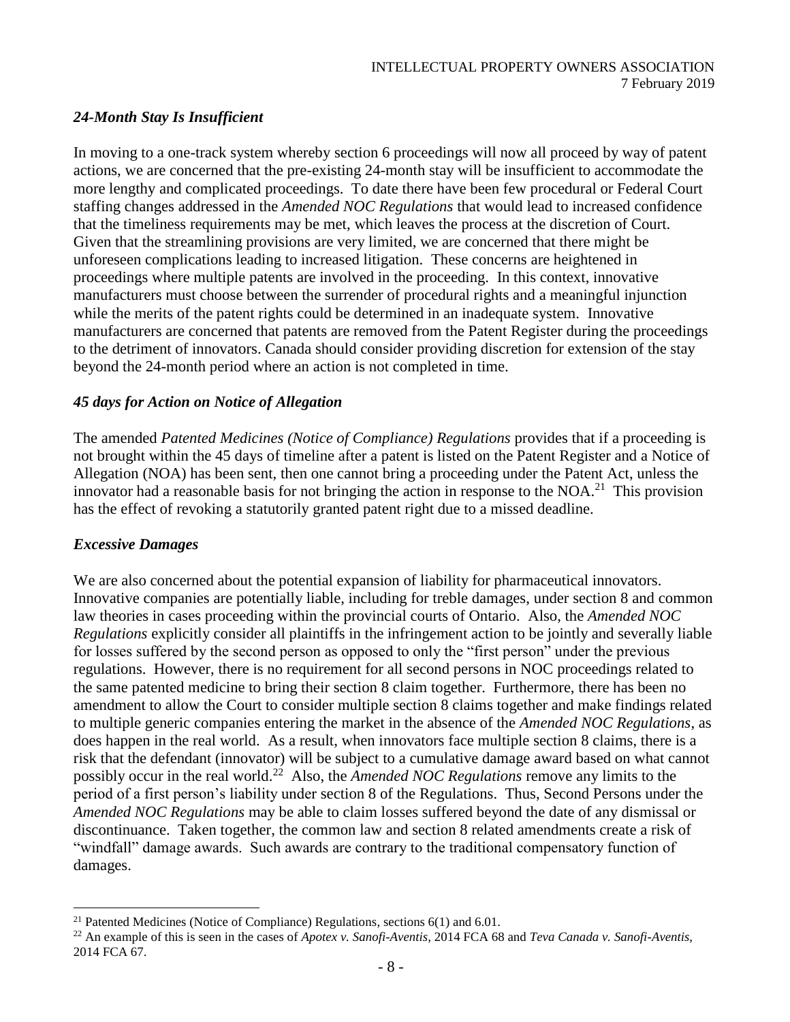### *24-Month Stay Is Insufficient*

In moving to a one-track system whereby section 6 proceedings will now all proceed by way of patent actions, we are concerned that the pre-existing 24-month stay will be insufficient to accommodate the more lengthy and complicated proceedings. To date there have been few procedural or Federal Court staffing changes addressed in the *Amended NOC Regulations* that would lead to increased confidence that the timeliness requirements may be met, which leaves the process at the discretion of Court. Given that the streamlining provisions are very limited, we are concerned that there might be unforeseen complications leading to increased litigation. These concerns are heightened in proceedings where multiple patents are involved in the proceeding. In this context, innovative manufacturers must choose between the surrender of procedural rights and a meaningful injunction while the merits of the patent rights could be determined in an inadequate system. Innovative manufacturers are concerned that patents are removed from the Patent Register during the proceedings to the detriment of innovators. Canada should consider providing discretion for extension of the stay beyond the 24-month period where an action is not completed in time.

### *45 days for Action on Notice of Allegation*

The amended *Patented Medicines (Notice of Compliance) Regulations* provides that if a proceeding is not brought within the 45 days of timeline after a patent is listed on the Patent Register and a Notice of Allegation (NOA) has been sent, then one cannot bring a proceeding under the Patent Act, unless the innovator had a reasonable basis for not bringing the action in response to the  $NOA<sup>21</sup>$ . This provision has the effect of revoking a statutorily granted patent right due to a missed deadline.

### *Excessive Damages*

l

We are also concerned about the potential expansion of liability for pharmaceutical innovators. Innovative companies are potentially liable, including for treble damages, under section 8 and common law theories in cases proceeding within the provincial courts of Ontario. Also, the *Amended NOC Regulations* explicitly consider all plaintiffs in the infringement action to be jointly and severally liable for losses suffered by the second person as opposed to only the "first person" under the previous regulations. However, there is no requirement for all second persons in NOC proceedings related to the same patented medicine to bring their section 8 claim together. Furthermore, there has been no amendment to allow the Court to consider multiple section 8 claims together and make findings related to multiple generic companies entering the market in the absence of the *Amended NOC Regulations*, as does happen in the real world. As a result, when innovators face multiple section 8 claims, there is a risk that the defendant (innovator) will be subject to a cumulative damage award based on what cannot possibly occur in the real world.<sup>22</sup> Also, the *Amended NOC Regulations* remove any limits to the period of a first person's liability under section 8 of the Regulations. Thus, Second Persons under the *Amended NOC Regulations* may be able to claim losses suffered beyond the date of any dismissal or discontinuance. Taken together, the common law and section 8 related amendments create a risk of "windfall" damage awards. Such awards are contrary to the traditional compensatory function of damages.

<sup>&</sup>lt;sup>21</sup> Patented Medicines (Notice of Compliance) Regulations, sections  $6(1)$  and  $6.01$ .

<sup>22</sup> An example of this is seen in the cases of *Apotex v. Sanofi-Aventis*, 2014 FCA 68 and *Teva Canada v. Sanofi-Aventis*, 2014 FCA 67.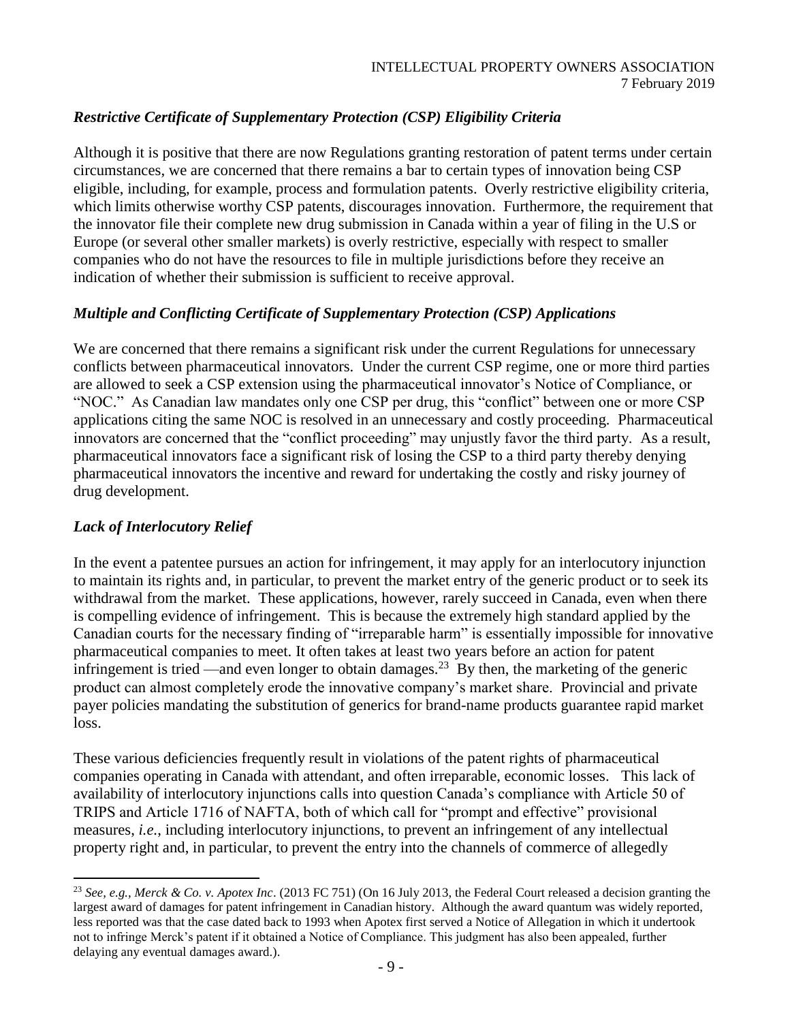# *Restrictive Certificate of Supplementary Protection (CSP) Eligibility Criteria*

Although it is positive that there are now Regulations granting restoration of patent terms under certain circumstances, we are concerned that there remains a bar to certain types of innovation being CSP eligible, including, for example, process and formulation patents. Overly restrictive eligibility criteria, which limits otherwise worthy CSP patents, discourages innovation. Furthermore, the requirement that the innovator file their complete new drug submission in Canada within a year of filing in the U.S or Europe (or several other smaller markets) is overly restrictive, especially with respect to smaller companies who do not have the resources to file in multiple jurisdictions before they receive an indication of whether their submission is sufficient to receive approval.

### *Multiple and Conflicting Certificate of Supplementary Protection (CSP) Applications*

We are concerned that there remains a significant risk under the current Regulations for unnecessary conflicts between pharmaceutical innovators. Under the current CSP regime, one or more third parties are allowed to seek a CSP extension using the pharmaceutical innovator's Notice of Compliance, or "NOC." As Canadian law mandates only one CSP per drug, this "conflict" between one or more CSP applications citing the same NOC is resolved in an unnecessary and costly proceeding. Pharmaceutical innovators are concerned that the "conflict proceeding" may unjustly favor the third party. As a result, pharmaceutical innovators face a significant risk of losing the CSP to a third party thereby denying pharmaceutical innovators the incentive and reward for undertaking the costly and risky journey of drug development.

### *Lack of Interlocutory Relief*

l

In the event a patentee pursues an action for infringement, it may apply for an interlocutory injunction to maintain its rights and, in particular, to prevent the market entry of the generic product or to seek its withdrawal from the market. These applications, however, rarely succeed in Canada, even when there is compelling evidence of infringement. This is because the extremely high standard applied by the Canadian courts for the necessary finding of "irreparable harm" is essentially impossible for innovative pharmaceutical companies to meet. It often takes at least two years before an action for patent infringement is tried —and even longer to obtain damages.<sup>23</sup> By then, the marketing of the generic product can almost completely erode the innovative company's market share. Provincial and private payer policies mandating the substitution of generics for brand-name products guarantee rapid market loss.

These various deficiencies frequently result in violations of the patent rights of pharmaceutical companies operating in Canada with attendant, and often irreparable, economic losses. This lack of availability of interlocutory injunctions calls into question Canada's compliance with Article 50 of TRIPS and Article 1716 of NAFTA, both of which call for "prompt and effective" provisional measures, *i.e.*, including interlocutory injunctions, to prevent an infringement of any intellectual property right and, in particular, to prevent the entry into the channels of commerce of allegedly

<sup>23</sup> *See, e.g., Merck & Co. v. Apotex Inc*. (2013 FC 751) (On 16 July 2013, the Federal Court released a decision granting the largest award of damages for patent infringement in Canadian history. Although the award quantum was widely reported, less reported was that the case dated back to 1993 when Apotex first served a Notice of Allegation in which it undertook not to infringe Merck's patent if it obtained a Notice of Compliance. This judgment has also been appealed, further delaying any eventual damages award.).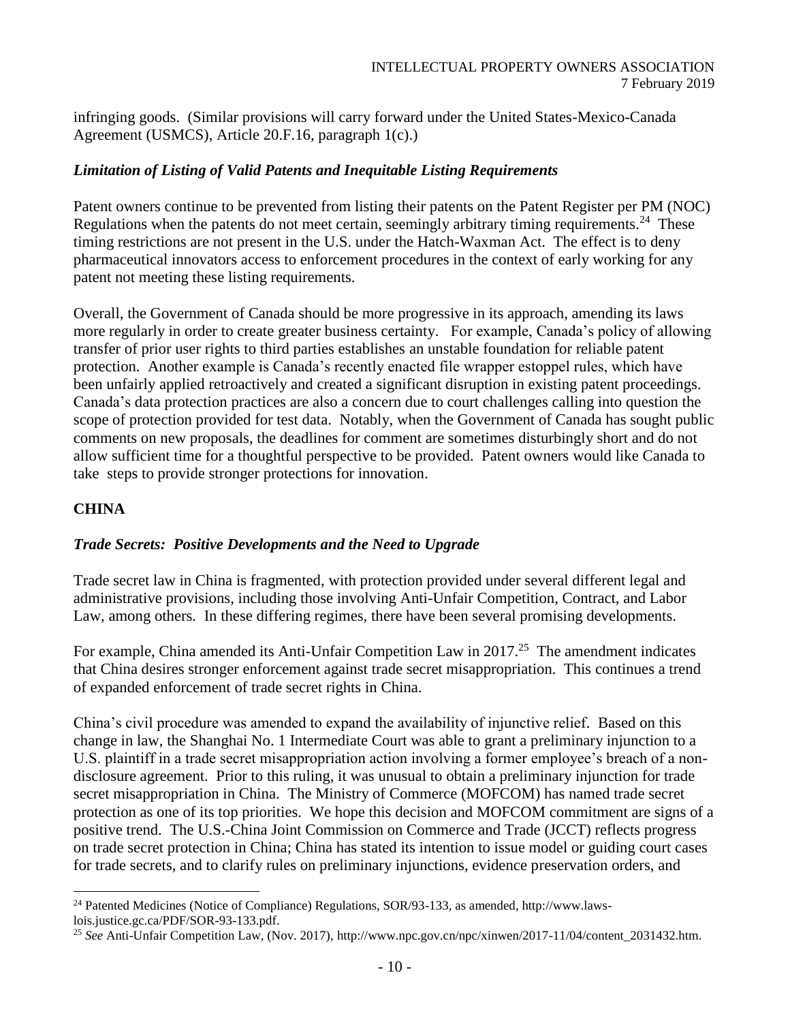infringing goods. (Similar provisions will carry forward under the United States-Mexico-Canada Agreement (USMCS), Article 20.F.16, paragraph 1(c).)

### *Limitation of Listing of Valid Patents and Inequitable Listing Requirements*

Patent owners continue to be prevented from listing their patents on the Patent Register per PM (NOC) Regulations when the patents do not meet certain, seemingly arbitrary timing requirements.<sup>24</sup> These timing restrictions are not present in the U.S. under the Hatch-Waxman Act. The effect is to deny pharmaceutical innovators access to enforcement procedures in the context of early working for any patent not meeting these listing requirements.

Overall, the Government of Canada should be more progressive in its approach, amending its laws more regularly in order to create greater business certainty. For example, Canada's policy of allowing transfer of prior user rights to third parties establishes an unstable foundation for reliable patent protection. Another example is Canada's recently enacted file wrapper estoppel rules, which have been unfairly applied retroactively and created a significant disruption in existing patent proceedings. Canada's data protection practices are also a concern due to court challenges calling into question the scope of protection provided for test data. Notably, when the Government of Canada has sought public comments on new proposals, the deadlines for comment are sometimes disturbingly short and do not allow sufficient time for a thoughtful perspective to be provided. Patent owners would like Canada to take steps to provide stronger protections for innovation.

## **CHINA**

### *Trade Secrets: Positive Developments and the Need to Upgrade*

Trade secret law in China is fragmented, with protection provided under several different legal and administrative provisions, including those involving Anti-Unfair Competition, Contract, and Labor Law, among others. In these differing regimes, there have been several promising developments.

For example, China amended its Anti-Unfair Competition Law in 2017.<sup>25</sup> The amendment indicates that China desires stronger enforcement against trade secret misappropriation. This continues a trend of expanded enforcement of trade secret rights in China.

China's civil procedure was amended to expand the availability of injunctive relief. Based on this change in law, the Shanghai No. 1 Intermediate Court was able to grant a preliminary injunction to a U.S. plaintiff in a trade secret misappropriation action involving a former employee's breach of a nondisclosure agreement. Prior to this ruling, it was unusual to obtain a preliminary injunction for trade secret misappropriation in China. The Ministry of Commerce (MOFCOM) has named trade secret protection as one of its top priorities. We hope this decision and MOFCOM commitment are signs of a positive trend. The U.S.-China Joint Commission on Commerce and Trade (JCCT) reflects progress on trade secret protection in China; China has stated its intention to issue model or guiding court cases for trade secrets, and to clarify rules on preliminary injunctions, evidence preservation orders, and

l <sup>24</sup> Patented Medicines (Notice of Compliance) Regulations, SOR/93-133, as amended, http://www.lawslois.justice.gc.ca/PDF/SOR-93-133.pdf.

<sup>25</sup> *See* Anti-Unfair Competition Law, (Nov. 2017), [http://www.npc.gov.cn/npc/xinwen/2017-11/04/content\\_2031432.htm.](http://www.npc.gov.cn/npc/xinwen/2017-11/04/content_2031432.htm)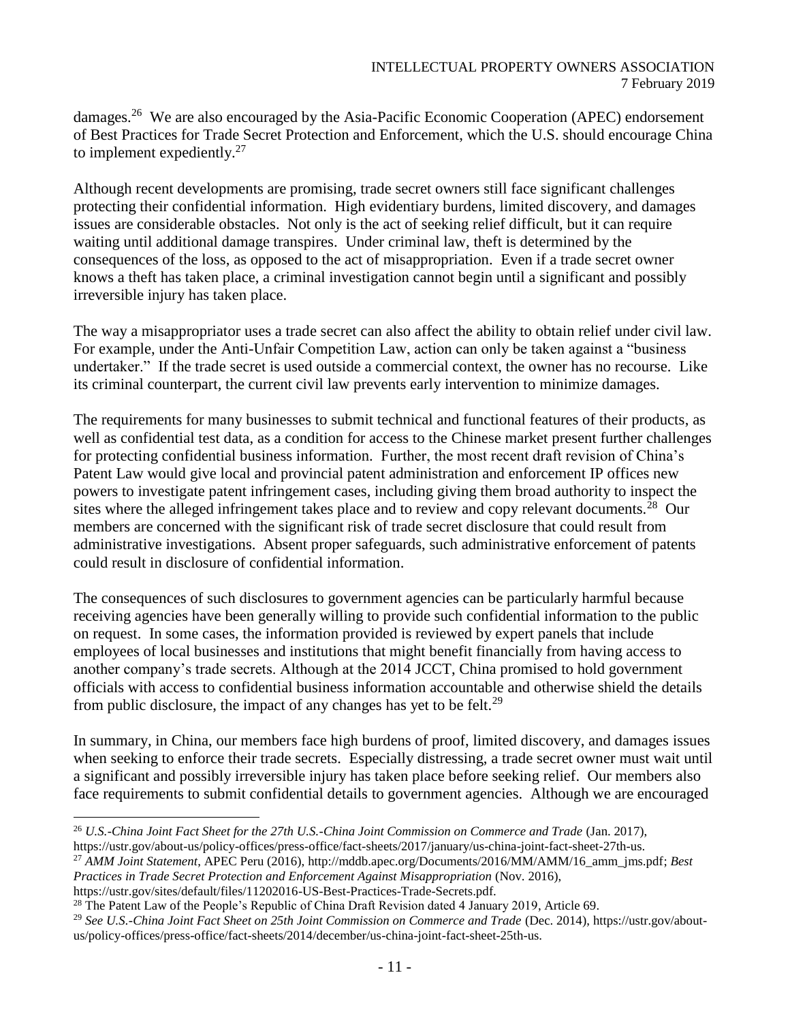damages.<sup>26</sup> We are also encouraged by the Asia-Pacific Economic Cooperation (APEC) endorsement of Best Practices for Trade Secret Protection and Enforcement, which the U.S. should encourage China to implement expediently. $27$ 

Although recent developments are promising, trade secret owners still face significant challenges protecting their confidential information. High evidentiary burdens, limited discovery, and damages issues are considerable obstacles. Not only is the act of seeking relief difficult, but it can require waiting until additional damage transpires. Under criminal law, theft is determined by the consequences of the loss, as opposed to the act of misappropriation. Even if a trade secret owner knows a theft has taken place, a criminal investigation cannot begin until a significant and possibly irreversible injury has taken place.

The way a misappropriator uses a trade secret can also affect the ability to obtain relief under civil law. For example, under the Anti-Unfair Competition Law, action can only be taken against a "business undertaker." If the trade secret is used outside a commercial context, the owner has no recourse. Like its criminal counterpart, the current civil law prevents early intervention to minimize damages.

The requirements for many businesses to submit technical and functional features of their products, as well as confidential test data, as a condition for access to the Chinese market present further challenges for protecting confidential business information. Further, the most recent draft revision of China's Patent Law would give local and provincial patent administration and enforcement IP offices new powers to investigate patent infringement cases, including giving them broad authority to inspect the sites where the alleged infringement takes place and to review and copy relevant documents.<sup>28</sup> Our members are concerned with the significant risk of trade secret disclosure that could result from administrative investigations. Absent proper safeguards, such administrative enforcement of patents could result in disclosure of confidential information.

The consequences of such disclosures to government agencies can be particularly harmful because receiving agencies have been generally willing to provide such confidential information to the public on request. In some cases, the information provided is reviewed by expert panels that include employees of local businesses and institutions that might benefit financially from having access to another company's trade secrets. Although at the 2014 JCCT, China promised to hold government officials with access to confidential business information accountable and otherwise shield the details from public disclosure, the impact of any changes has yet to be felt.<sup>29</sup>

In summary, in China, our members face high burdens of proof, limited discovery, and damages issues when seeking to enforce their trade secrets. Especially distressing, a trade secret owner must wait until a significant and possibly irreversible injury has taken place before seeking relief. Our members also face requirements to submit confidential details to government agencies. Although we are encouraged

[https://ustr.gov/sites/default/files/11202016-US-Best-Practices-Trade-Secrets.pdf.](https://ustr.gov/sites/default/files/11202016-US-Best-Practices-Trade-Secrets.pdf)

l <sup>26</sup> *U.S.-China Joint Fact Sheet for the 27th U.S.-China Joint Commission on Commerce and Trade* (Jan. 2017), https://ustr.gov/about-us/policy-offices/press-office/fact-sheets/2017/january/us-china-joint-fact-sheet-27th-us.

<sup>27</sup> *AMM Joint Statement*, APEC Peru (2016)[, http://mddb.apec.org/Documents/2016/MM/AMM/16\\_amm\\_jms.pdf;](http://mddb.apec.org/Documents/2016/MM/AMM/16_amm_jms.pdf) *Best Practices in Trade Secret Protection and Enforcement Against Misappropriation* (Nov. 2016),

<sup>&</sup>lt;sup>28</sup> The Patent Law of the People's Republic of China Draft Revision dated 4 January 2019, Article 69.

<sup>29</sup> *See U.S.-China Joint Fact Sheet on 25th Joint Commission on Commerce and Trade* (Dec. 2014)[, https://ustr.gov/about](https://ustr.gov/about-us/policy-offices/press-office/fact-sheets/2014/december/us-china-joint-fact-sheet-25th-us)[us/policy-offices/press-office/fact-sheets/2014/december/us-china-joint-fact-sheet-25th-us.](https://ustr.gov/about-us/policy-offices/press-office/fact-sheets/2014/december/us-china-joint-fact-sheet-25th-us)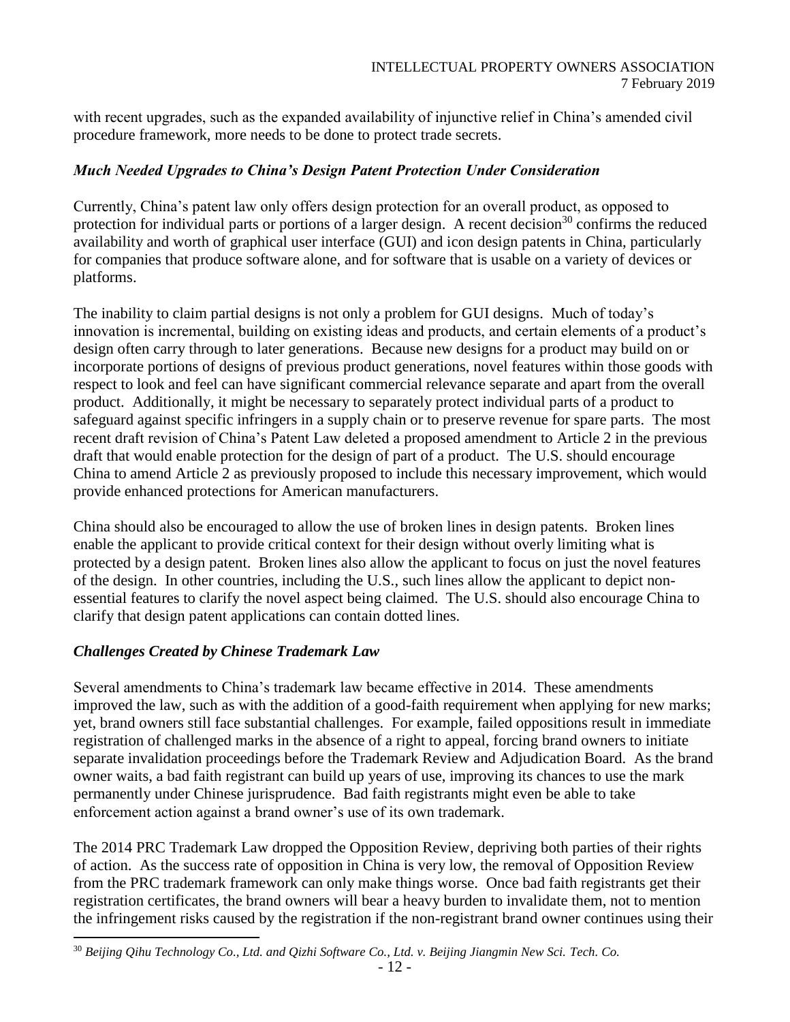with recent upgrades, such as the expanded availability of injunctive relief in China's amended civil procedure framework, more needs to be done to protect trade secrets.

### *Much Needed Upgrades to China's Design Patent Protection Under Consideration*

Currently, China's patent law only offers design protection for an overall product, as opposed to protection for individual parts or portions of a larger design. A recent decision<sup>30</sup> confirms the reduced availability and worth of graphical user interface (GUI) and icon design patents in China, particularly for companies that produce software alone, and for software that is usable on a variety of devices or platforms.

The inability to claim partial designs is not only a problem for GUI designs. Much of today's innovation is incremental, building on existing ideas and products, and certain elements of a product's design often carry through to later generations. Because new designs for a product may build on or incorporate portions of designs of previous product generations, novel features within those goods with respect to look and feel can have significant commercial relevance separate and apart from the overall product. Additionally, it might be necessary to separately protect individual parts of a product to safeguard against specific infringers in a supply chain or to preserve revenue for spare parts. The most recent draft revision of China's Patent Law deleted a proposed amendment to Article 2 in the previous draft that would enable protection for the design of part of a product. The U.S. should encourage China to amend Article 2 as previously proposed to include this necessary improvement, which would provide enhanced protections for American manufacturers.

China should also be encouraged to allow the use of broken lines in design patents. Broken lines enable the applicant to provide critical context for their design without overly limiting what is protected by a design patent. Broken lines also allow the applicant to focus on just the novel features of the design. In other countries, including the U.S., such lines allow the applicant to depict nonessential features to clarify the novel aspect being claimed. The U.S. should also encourage China to clarify that design patent applications can contain dotted lines.

### *Challenges Created by Chinese Trademark Law*

 $\overline{a}$ 

Several amendments to China's trademark law became effective in 2014. These amendments improved the law, such as with the addition of a good-faith requirement when applying for new marks; yet, brand owners still face substantial challenges. For example, failed oppositions result in immediate registration of challenged marks in the absence of a right to appeal, forcing brand owners to initiate separate invalidation proceedings before the Trademark Review and Adjudication Board. As the brand owner waits, a bad faith registrant can build up years of use, improving its chances to use the mark permanently under Chinese jurisprudence. Bad faith registrants might even be able to take enforcement action against a brand owner's use of its own trademark.

The 2014 PRC Trademark Law dropped the Opposition Review, depriving both parties of their rights of action. As the success rate of opposition in China is very low, the removal of Opposition Review from the PRC trademark framework can only make things worse. Once bad faith registrants get their registration certificates, the brand owners will bear a heavy burden to invalidate them, not to mention the infringement risks caused by the registration if the non-registrant brand owner continues using their

<sup>30</sup> *Beijing Qihu Technology Co., Ltd. and Qizhi Software Co., Ltd. v. Beijing Jiangmin New Sci. Tech. Co.*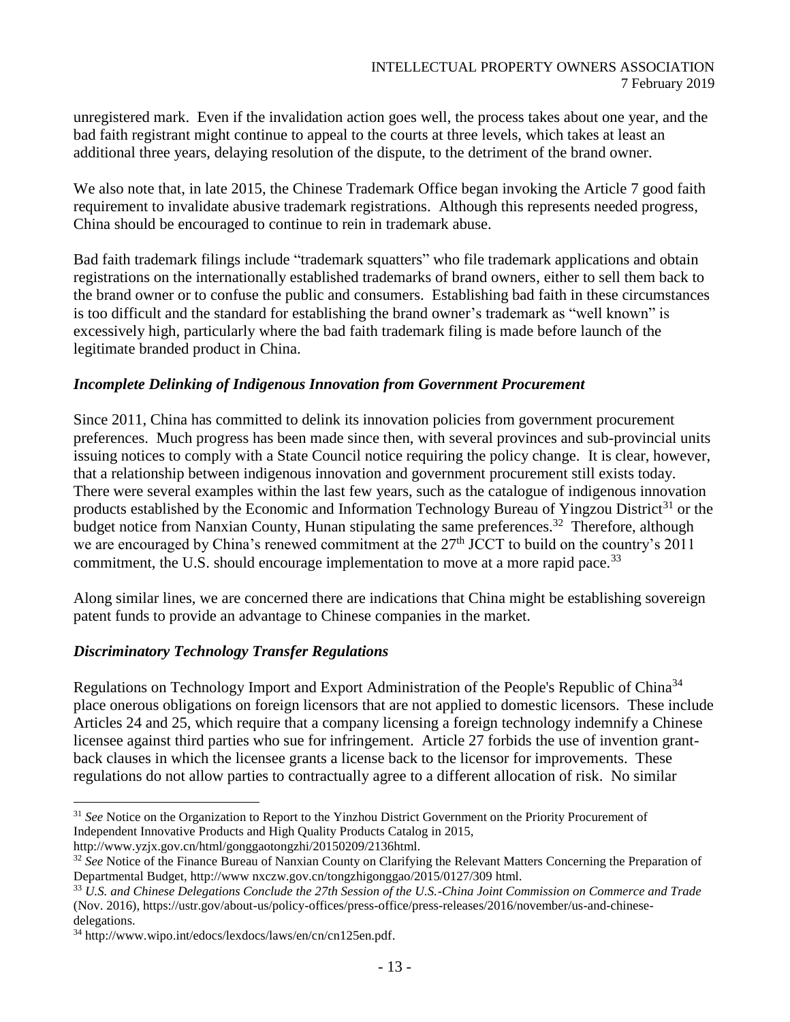unregistered mark. Even if the invalidation action goes well, the process takes about one year, and the bad faith registrant might continue to appeal to the courts at three levels, which takes at least an additional three years, delaying resolution of the dispute, to the detriment of the brand owner.

We also note that, in late 2015, the Chinese Trademark Office began invoking the Article 7 good faith requirement to invalidate abusive trademark registrations. Although this represents needed progress, China should be encouraged to continue to rein in trademark abuse.

Bad faith trademark filings include "trademark squatters" who file trademark applications and obtain registrations on the internationally established trademarks of brand owners, either to sell them back to the brand owner or to confuse the public and consumers. Establishing bad faith in these circumstances is too difficult and the standard for establishing the brand owner's trademark as "well known" is excessively high, particularly where the bad faith trademark filing is made before launch of the legitimate branded product in China.

#### *Incomplete Delinking of Indigenous Innovation from Government Procurement*

Since 2011, China has committed to delink its innovation policies from government procurement preferences. Much progress has been made since then, with several provinces and sub-provincial units issuing notices to comply with a State Council notice requiring the policy change. It is clear, however, that a relationship between indigenous innovation and government procurement still exists today. There were several examples within the last few years, such as the catalogue of indigenous innovation products established by the Economic and Information Technology Bureau of Yingzou District<sup>31</sup> or the budget notice from Nanxian County, Hunan stipulating the same preferences.<sup>32</sup> Therefore, although we are encouraged by China's renewed commitment at the 27<sup>th</sup> JCCT to build on the country's 2011 commitment, the U.S. should encourage implementation to move at a more rapid pace.<sup>33</sup>

Along similar lines, we are concerned there are indications that China might be establishing sovereign patent funds to provide an advantage to Chinese companies in the market.

#### *Discriminatory Technology Transfer Regulations*

Regulations on Technology Import and Export Administration of the People's Republic of China<sup>34</sup> place onerous obligations on foreign licensors that are not applied to domestic licensors. These include Articles 24 and 25, which require that a company licensing a foreign technology indemnify a Chinese licensee against third parties who sue for infringement. Article 27 forbids the use of invention grantback clauses in which the licensee grants a license back to the licensor for improvements. These regulations do not allow parties to contractually agree to a different allocation of risk. No similar

http://www.yzjx.gov.cn/html/gonggaotongzhi/20150209/2136html.

<sup>&</sup>lt;sup>31</sup> *See* Notice on the Organization to Report to the Yinzhou District Government on the Priority Procurement of Independent Innovative Products and High Quality Products Catalog in 2015,

<sup>32</sup> *See* Notice of the Finance Bureau of Nanxian County on Clarifying the Relevant Matters Concerning the Preparation of Departmental Budget, http://www nxczw.gov.cn/tongzhigonggao/2015/0127/309 html.

<sup>33</sup> *U.S. and Chinese Delegations Conclude the 27th Session of the U.S.-China Joint Commission on Commerce and Trade* (Nov. 2016), https://ustr.gov/about-us/policy-offices/press-office/press-releases/2016/november/us-and-chinesedelegations.

<sup>34</sup> http://www.wipo.int/edocs/lexdocs/laws/en/cn/cn125en.pdf.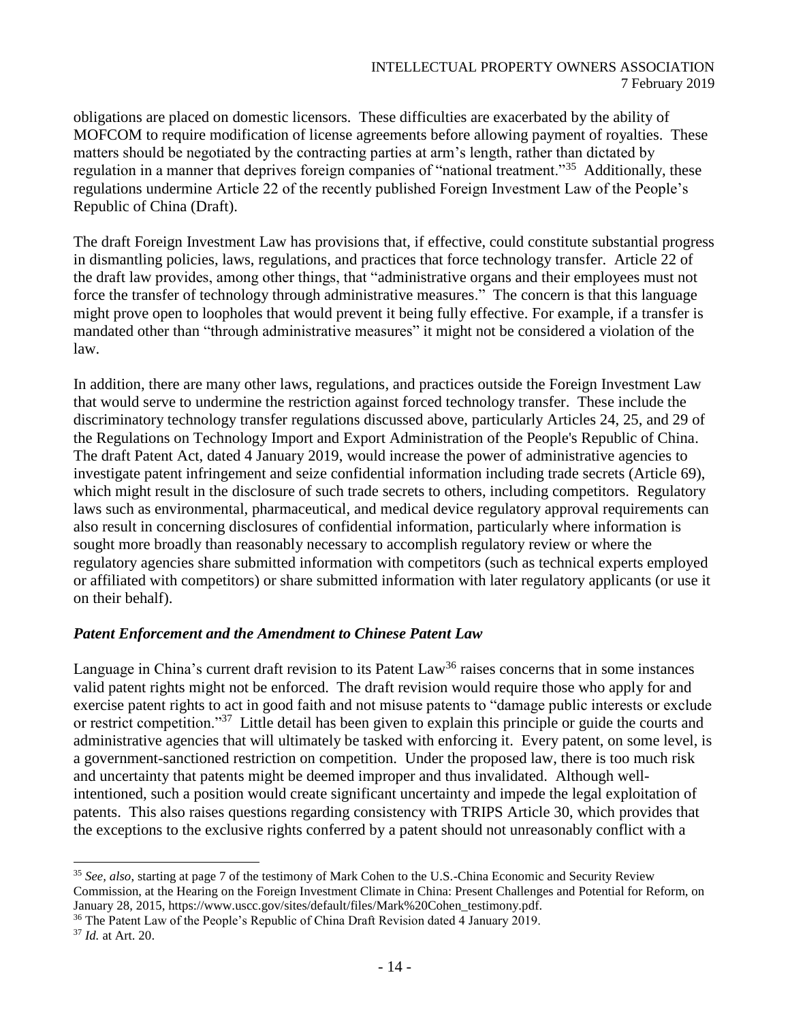obligations are placed on domestic licensors. These difficulties are exacerbated by the ability of MOFCOM to require modification of license agreements before allowing payment of royalties. These matters should be negotiated by the contracting parties at arm's length, rather than dictated by regulation in a manner that deprives foreign companies of "national treatment."<sup>35</sup> Additionally, these regulations undermine Article 22 of the recently published Foreign Investment Law of the People's Republic of China (Draft).

The draft Foreign Investment Law has provisions that, if effective, could constitute substantial progress in dismantling policies, laws, regulations, and practices that force technology transfer. Article 22 of the draft law provides, among other things, that "administrative organs and their employees must not force the transfer of technology through administrative measures." The concern is that this language might prove open to loopholes that would prevent it being fully effective. For example, if a transfer is mandated other than "through administrative measures" it might not be considered a violation of the law.

In addition, there are many other laws, regulations, and practices outside the Foreign Investment Law that would serve to undermine the restriction against forced technology transfer. These include the discriminatory technology transfer regulations discussed above, particularly Articles 24, 25, and 29 of the Regulations on Technology Import and Export Administration of the People's Republic of China. The draft Patent Act, dated 4 January 2019, would increase the power of administrative agencies to investigate patent infringement and seize confidential information including trade secrets (Article 69), which might result in the disclosure of such trade secrets to others, including competitors. Regulatory laws such as environmental, pharmaceutical, and medical device regulatory approval requirements can also result in concerning disclosures of confidential information, particularly where information is sought more broadly than reasonably necessary to accomplish regulatory review or where the regulatory agencies share submitted information with competitors (such as technical experts employed or affiliated with competitors) or share submitted information with later regulatory applicants (or use it on their behalf).

### *Patent Enforcement and the Amendment to Chinese Patent Law*

Language in China's current draft revision to its Patent Law<sup>36</sup> raises concerns that in some instances valid patent rights might not be enforced. The draft revision would require those who apply for and exercise patent rights to act in good faith and not misuse patents to "damage public interests or exclude or restrict competition."<sup>37</sup> Little detail has been given to explain this principle or guide the courts and administrative agencies that will ultimately be tasked with enforcing it. Every patent, on some level, is a government-sanctioned restriction on competition. Under the proposed law, there is too much risk and uncertainty that patents might be deemed improper and thus invalidated. Although wellintentioned, such a position would create significant uncertainty and impede the legal exploitation of patents. This also raises questions regarding consistency with TRIPS Article 30, which provides that the exceptions to the exclusive rights conferred by a patent should not unreasonably conflict with a

<sup>35</sup> *See, also*, starting at page 7 of the testimony of Mark Cohen to the U.S.-China Economic and Security Review Commission, at the Hearing on the Foreign Investment Climate in China: Present Challenges and Potential for Reform, on January 28, 2015, https://www.uscc.gov/sites/default/files/Mark%20Cohen\_testimony.pdf.

<sup>&</sup>lt;sup>36</sup> The Patent Law of the People's Republic of China Draft Revision dated 4 January 2019.

<sup>37</sup> *Id.* at Art. 20.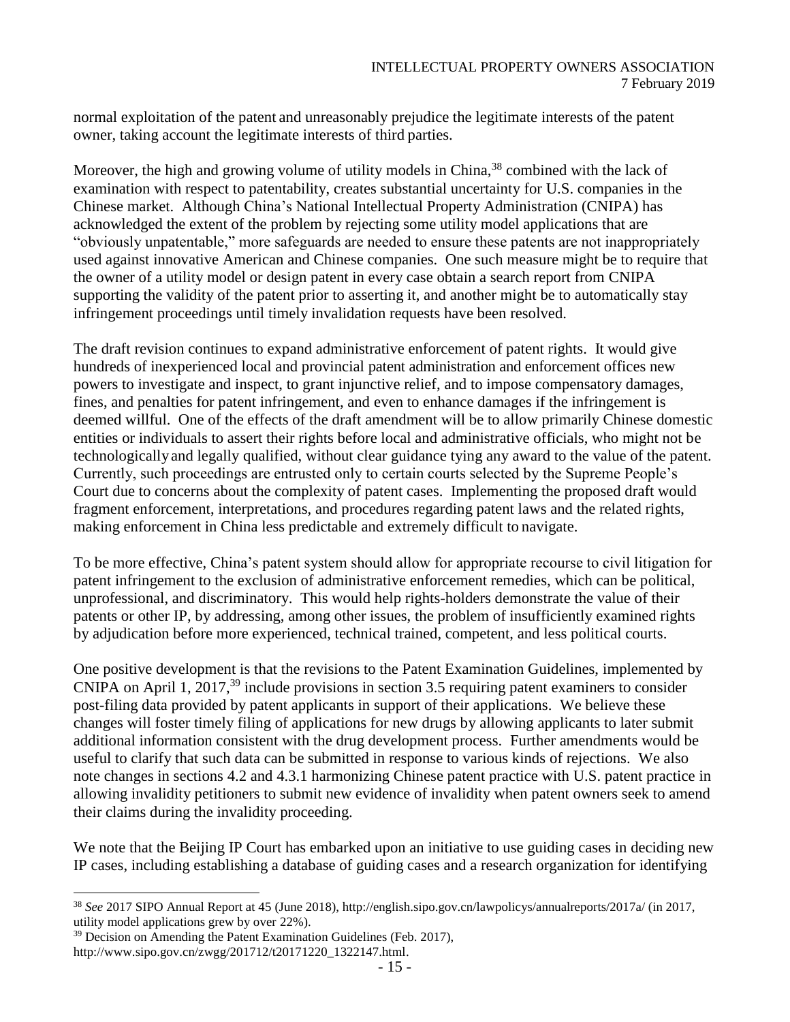normal exploitation of the patent and unreasonably prejudice the legitimate interests of the patent owner, taking account the legitimate interests of third parties.

Moreover, the high and growing volume of utility models in China,<sup>38</sup> combined with the lack of examination with respect to patentability, creates substantial uncertainty for U.S. companies in the Chinese market. Although China's National Intellectual Property Administration (CNIPA) has acknowledged the extent of the problem by rejecting some utility model applications that are "obviously unpatentable," more safeguards are needed to ensure these patents are not inappropriately used against innovative American and Chinese companies. One such measure might be to require that the owner of a utility model or design patent in every case obtain a search report from CNIPA supporting the validity of the patent prior to asserting it, and another might be to automatically stay infringement proceedings until timely invalidation requests have been resolved.

The draft revision continues to expand administrative enforcement of patent rights. It would give hundreds of inexperienced local and provincial patent administration and enforcement offices new powers to investigate and inspect, to grant injunctive relief, and to impose compensatory damages, fines, and penalties for patent infringement, and even to enhance damages if the infringement is deemed willful. One of the effects of the draft amendment will be to allow primarily Chinese domestic entities or individuals to assert their rights before local and administrative officials, who might not be technologicallyand legally qualified, without clear guidance tying any award to the value of the patent. Currently, such proceedings are entrusted only to certain courts selected by the Supreme People's Court due to concerns about the complexity of patent cases. Implementing the proposed draft would fragment enforcement, interpretations, and procedures regarding patent laws and the related rights, making enforcement in China less predictable and extremely difficult to navigate.

To be more effective, China's patent system should allow for appropriate recourse to civil litigation for patent infringement to the exclusion of administrative enforcement remedies, which can be political, unprofessional, and discriminatory. This would help rights-holders demonstrate the value of their patents or other IP, by addressing, among other issues, the problem of insufficiently examined rights by adjudication before more experienced, technical trained, competent, and less political courts.

One positive development is that the revisions to the Patent Examination Guidelines, implemented by CNIPA on April 1, 2017,<sup>39</sup> include provisions in section 3.5 requiring patent examiners to consider post-filing data provided by patent applicants in support of their applications. We believe these changes will foster timely filing of applications for new drugs by allowing applicants to later submit additional information consistent with the drug development process. Further amendments would be useful to clarify that such data can be submitted in response to various kinds of rejections. We also note changes in sections 4.2 and 4.3.1 harmonizing Chinese patent practice with U.S. patent practice in allowing invalidity petitioners to submit new evidence of invalidity when patent owners seek to amend their claims during the invalidity proceeding.

We note that the Beijing IP Court has embarked upon an initiative to use guiding cases in deciding new IP cases, including establishing a database of guiding cases and a research organization for identifying

<sup>38</sup> *See* 2017 SIPO Annual Report at 45 (June 2018), http://english.sipo.gov.cn/lawpolicys/annualreports/2017a/ (in 2017, utility model applications grew by over 22%).

 $39$  Decision on Amending the Patent Examination Guidelines (Feb. 2017), http://www.sipo.gov.cn/zwgg/201712/t20171220\_1322147.html.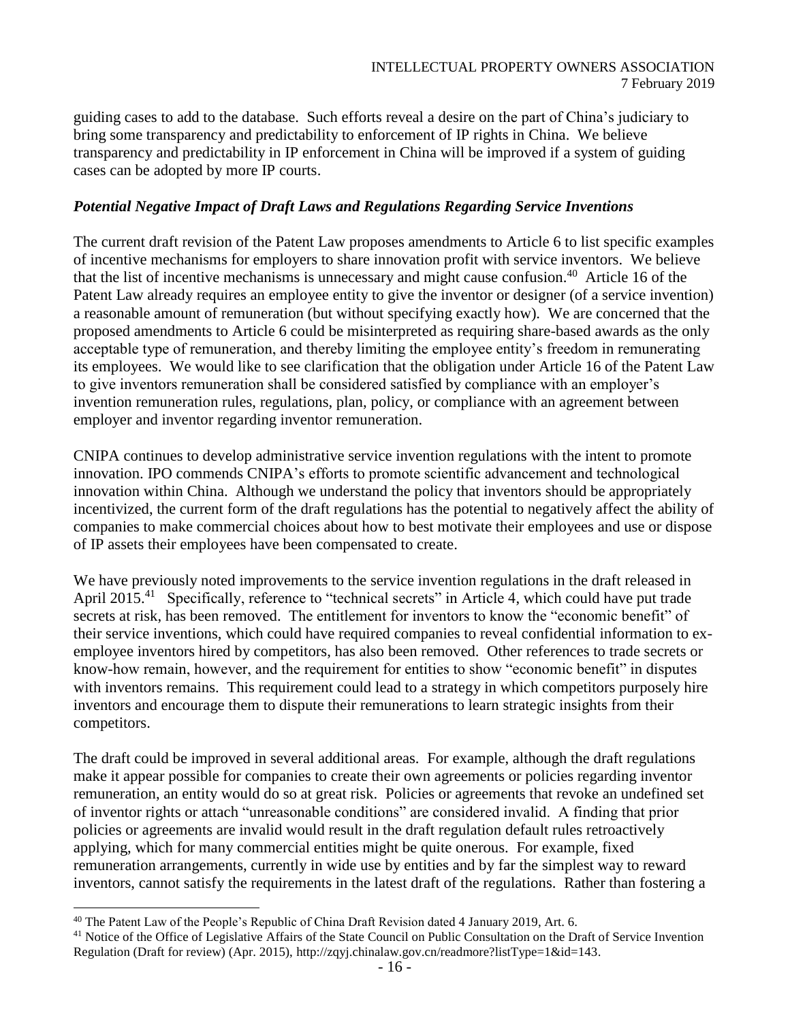guiding cases to add to the database. Such efforts reveal a desire on the part of China's judiciary to bring some transparency and predictability to enforcement of IP rights in China. We believe transparency and predictability in IP enforcement in China will be improved if a system of guiding cases can be adopted by more IP courts.

### *Potential Negative Impact of Draft Laws and Regulations Regarding Service Inventions*

The current draft revision of the Patent Law proposes amendments to Article 6 to list specific examples of incentive mechanisms for employers to share innovation profit with service inventors. We believe that the list of incentive mechanisms is unnecessary and might cause confusion. 40 Article 16 of the Patent Law already requires an employee entity to give the inventor or designer (of a service invention) a reasonable amount of remuneration (but without specifying exactly how). We are concerned that the proposed amendments to Article 6 could be misinterpreted as requiring share-based awards as the only acceptable type of remuneration, and thereby limiting the employee entity's freedom in remunerating its employees. We would like to see clarification that the obligation under Article 16 of the Patent Law to give inventors remuneration shall be considered satisfied by compliance with an employer's invention remuneration rules, regulations, plan, policy, or compliance with an agreement between employer and inventor regarding inventor remuneration.

CNIPA continues to develop administrative service invention regulations with the intent to promote innovation. IPO commends CNIPA's efforts to promote scientific advancement and technological innovation within China. Although we understand the policy that inventors should be appropriately incentivized, the current form of the draft regulations has the potential to negatively affect the ability of companies to make commercial choices about how to best motivate their employees and use or dispose of IP assets their employees have been compensated to create.

We have previously noted improvements to the service invention regulations in the draft released in April 2015.<sup>41</sup> Specifically, reference to "technical secrets" in Article 4, which could have put trade secrets at risk, has been removed. The entitlement for inventors to know the "economic benefit" of their service inventions, which could have required companies to reveal confidential information to exemployee inventors hired by competitors, has also been removed. Other references to trade secrets or know-how remain, however, and the requirement for entities to show "economic benefit" in disputes with inventors remains. This requirement could lead to a strategy in which competitors purposely hire inventors and encourage them to dispute their remunerations to learn strategic insights from their competitors.

The draft could be improved in several additional areas. For example, although the draft regulations make it appear possible for companies to create their own agreements or policies regarding inventor remuneration, an entity would do so at great risk. Policies or agreements that revoke an undefined set of inventor rights or attach "unreasonable conditions" are considered invalid. A finding that prior policies or agreements are invalid would result in the draft regulation default rules retroactively applying, which for many commercial entities might be quite onerous. For example, fixed remuneration arrangements, currently in wide use by entities and by far the simplest way to reward inventors, cannot satisfy the requirements in the latest draft of the regulations. Rather than fostering a

<sup>&</sup>lt;sup>40</sup> The Patent Law of the People's Republic of China Draft Revision dated 4 January 2019, Art. 6.

<sup>&</sup>lt;sup>41</sup> Notice of the Office of Legislative Affairs of the State Council on Public Consultation on the Draft of Service Invention Regulation (Draft for review) (Apr. 2015), http://zqyj.chinalaw.gov.cn/readmore?listType=1&id=143.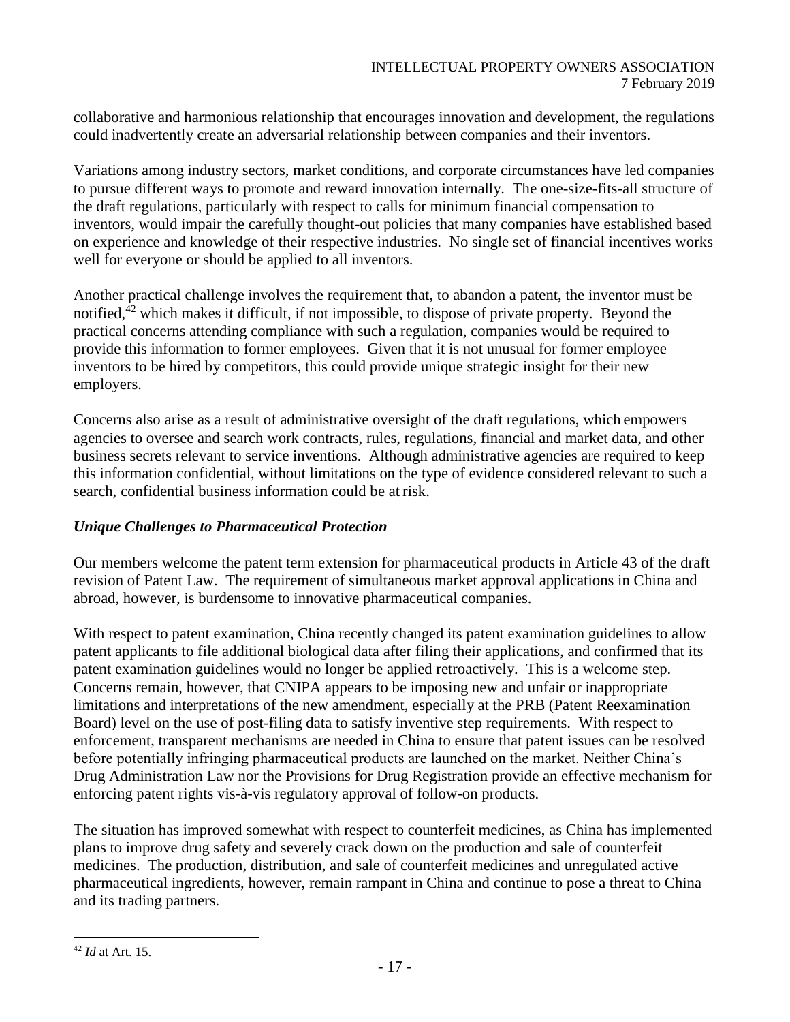collaborative and harmonious relationship that encourages innovation and development, the regulations could inadvertently create an adversarial relationship between companies and their inventors.

Variations among industry sectors, market conditions, and corporate circumstances have led companies to pursue different ways to promote and reward innovation internally. The one-size-fits-all structure of the draft regulations, particularly with respect to calls for minimum financial compensation to inventors, would impair the carefully thought-out policies that many companies have established based on experience and knowledge of their respective industries. No single set of financial incentives works well for everyone or should be applied to all inventors.

Another practical challenge involves the requirement that, to abandon a patent, the inventor must be notified,  $42$  which makes it difficult, if not impossible, to dispose of private property. Beyond the practical concerns attending compliance with such a regulation, companies would be required to provide this information to former employees. Given that it is not unusual for former employee inventors to be hired by competitors, this could provide unique strategic insight for their new employers.

Concerns also arise as a result of administrative oversight of the draft regulations, which empowers agencies to oversee and search work contracts, rules, regulations, financial and market data, and other business secrets relevant to service inventions. Although administrative agencies are required to keep this information confidential, without limitations on the type of evidence considered relevant to such a search, confidential business information could be at risk.

### *Unique Challenges to Pharmaceutical Protection*

Our members welcome the patent term extension for pharmaceutical products in Article 43 of the draft revision of Patent Law. The requirement of simultaneous market approval applications in China and abroad, however, is burdensome to innovative pharmaceutical companies.

With respect to patent examination, China recently changed its patent examination guidelines to allow patent applicants to file additional biological data after filing their applications, and confirmed that its patent examination guidelines would no longer be applied retroactively. This is a welcome step. Concerns remain, however, that CNIPA appears to be imposing new and unfair or inappropriate limitations and interpretations of the new amendment, especially at the PRB (Patent Reexamination Board) level on the use of post-filing data to satisfy inventive step requirements. With respect to enforcement, transparent mechanisms are needed in China to ensure that patent issues can be resolved before potentially infringing pharmaceutical products are launched on the market. Neither China's Drug Administration Law nor the Provisions for Drug Registration provide an effective mechanism for enforcing patent rights vis-à-vis regulatory approval of follow-on products.

The situation has improved somewhat with respect to counterfeit medicines, as China has implemented plans to improve drug safety and severely crack down on the production and sale of counterfeit medicines. The production, distribution, and sale of counterfeit medicines and unregulated active pharmaceutical ingredients, however, remain rampant in China and continue to pose a threat to China and its trading partners.

 $\overline{a}$ <sup>42</sup> *Id* at Art. 15.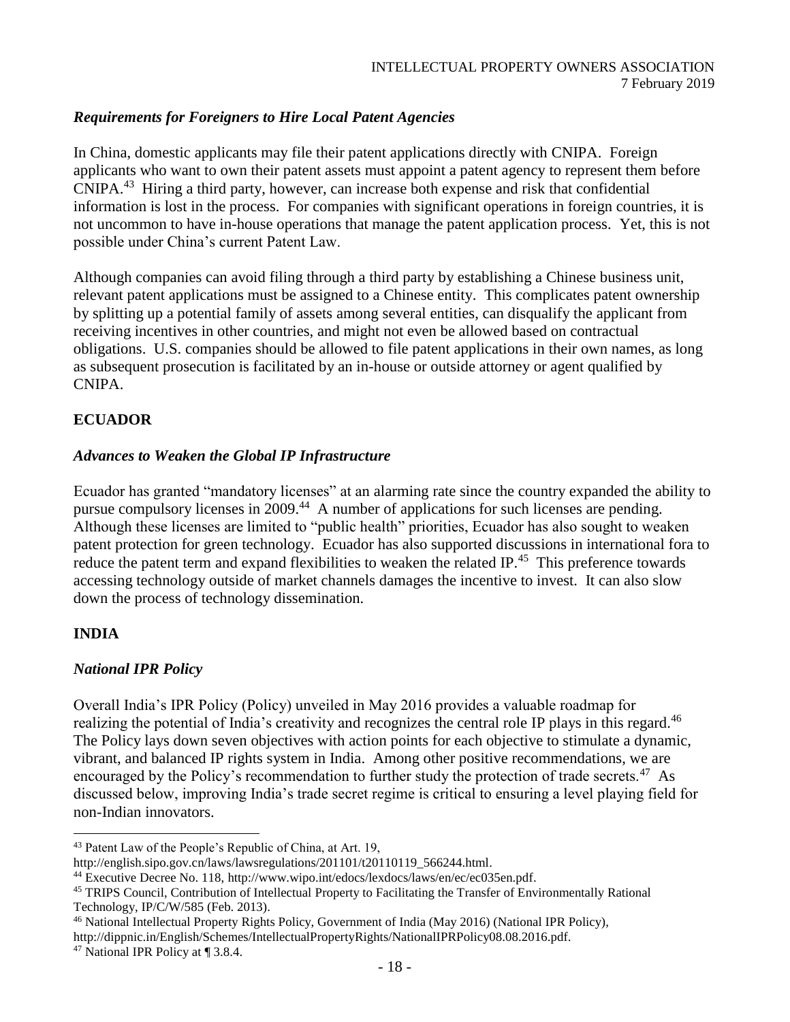### *Requirements for Foreigners to Hire Local Patent Agencies*

In China, domestic applicants may file their patent applications directly with CNIPA. Foreign applicants who want to own their patent assets must appoint a patent agency to represent them before CNIPA. <sup>43</sup> Hiring a third party, however, can increase both expense and risk that confidential information is lost in the process. For companies with significant operations in foreign countries, it is not uncommon to have in-house operations that manage the patent application process. Yet, this is not possible under China's current Patent Law.

Although companies can avoid filing through a third party by establishing a Chinese business unit, relevant patent applications must be assigned to a Chinese entity. This complicates patent ownership by splitting up a potential family of assets among several entities, can disqualify the applicant from receiving incentives in other countries, and might not even be allowed based on contractual obligations. U.S. companies should be allowed to file patent applications in their own names, as long as subsequent prosecution is facilitated by an in-house or outside attorney or agent qualified by CNIPA.

## **ECUADOR**

#### *Advances to Weaken the Global IP Infrastructure*

Ecuador has granted "mandatory licenses" at an alarming rate since the country expanded the ability to pursue compulsory licenses in 2009.<sup>44</sup> A number of applications for such licenses are pending. Although these licenses are limited to "public health" priorities, Ecuador has also sought to weaken patent protection for green technology. Ecuador has also supported discussions in international fora to reduce the patent term and expand flexibilities to weaken the related IP.<sup>45</sup> This preference towards accessing technology outside of market channels damages the incentive to invest. It can also slow down the process of technology dissemination.

### **INDIA**

l

### *National IPR Policy*

Overall India's IPR Policy (Policy) unveiled in May 2016 provides a valuable roadmap for realizing the potential of India's creativity and recognizes the central role IP plays in this regard.<sup>46</sup> The Policy lays down seven objectives with action points for each objective to stimulate a dynamic, vibrant, and balanced IP rights system in India. Among other positive recommendations, we are encouraged by the Policy's recommendation to further study the protection of trade secrets.<sup>47</sup> As discussed below, improving India's trade secret regime is critical to ensuring a level playing field for non-Indian innovators.

<sup>43</sup> Patent Law of the People's Republic of China, at Art. 19,

[http://english.sipo.gov.cn/laws/lawsregulations/201101/t20110119\\_566244.html.](http://english.sipo.gov.cn/laws/lawsregulations/201101/t20110119_566244.html)

<sup>44</sup> Executive Decree No. 118, [http://www.wipo.int/edocs/lexdocs/laws/en/ec/ec035en.pdf.](http://www.wipo.int/edocs/lexdocs/laws/en/ec/ec035en.pdf) 

<sup>45</sup> TRIPS Council, Contribution of Intellectual Property to Facilitating the Transfer of Environmentally Rational Technology, IP/C/W/585 (Feb. 2013).

<sup>46</sup> National Intellectual Property Rights Policy, Government of India (May 2016) (National IPR Policy),

http://dippnic.in/English/Schemes/IntellectualPropertyRights/NationalIPRPolicy08.08.2016.pdf.

<sup>47</sup> National IPR Policy at ¶ 3.8.4.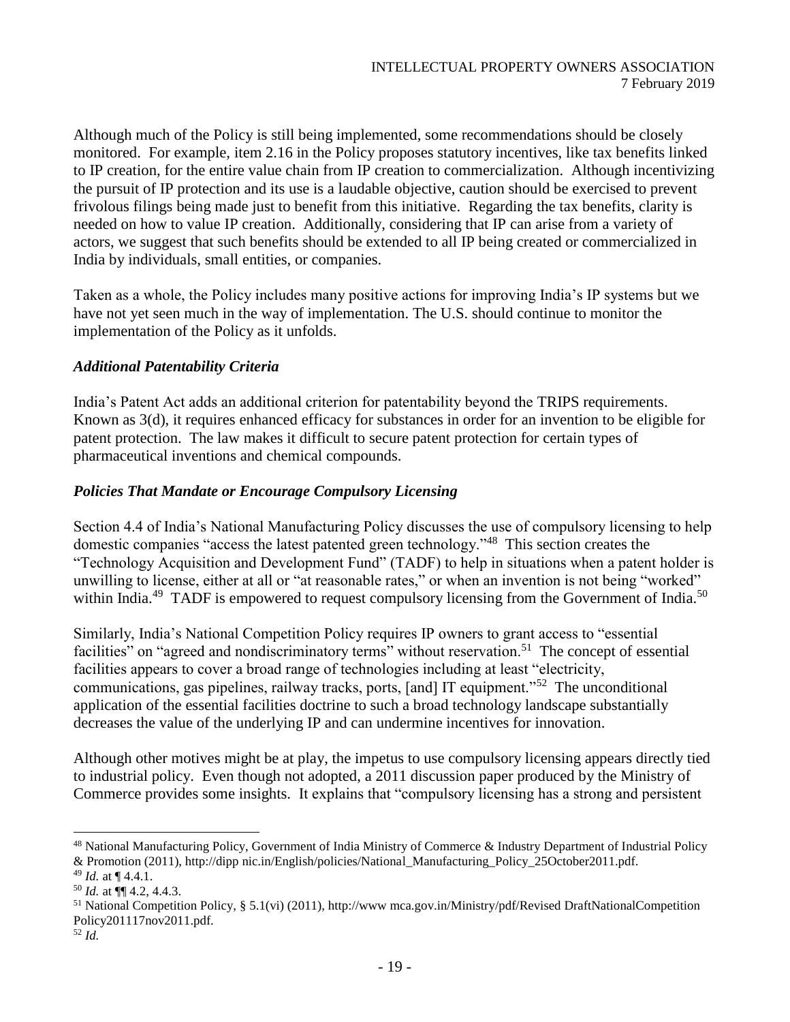Although much of the Policy is still being implemented, some recommendations should be closely monitored. For example, item 2.16 in the Policy proposes statutory incentives, like tax benefits linked to IP creation, for the entire value chain from IP creation to commercialization. Although incentivizing the pursuit of IP protection and its use is a laudable objective, caution should be exercised to prevent frivolous filings being made just to benefit from this initiative. Regarding the tax benefits, clarity is needed on how to value IP creation. Additionally, considering that IP can arise from a variety of actors, we suggest that such benefits should be extended to all IP being created or commercialized in India by individuals, small entities, or companies.

Taken as a whole, the Policy includes many positive actions for improving India's IP systems but we have not yet seen much in the way of implementation. The U.S. should continue to monitor the implementation of the Policy as it unfolds.

#### *Additional Patentability Criteria*

India's Patent Act adds an additional criterion for patentability beyond the TRIPS requirements. Known as 3(d), it requires enhanced efficacy for substances in order for an invention to be eligible for patent protection. The law makes it difficult to secure patent protection for certain types of pharmaceutical inventions and chemical compounds.

#### *Policies That Mandate or Encourage Compulsory Licensing*

Section 4.4 of India's National Manufacturing Policy discusses the use of compulsory licensing to help domestic companies "access the latest patented green technology."<sup>48</sup> This section creates the "Technology Acquisition and Development Fund" (TADF) to help in situations when a patent holder is unwilling to license, either at all or "at reasonable rates," or when an invention is not being "worked" within India.<sup>49</sup> TADF is empowered to request compulsory licensing from the Government of India.<sup>50</sup>

Similarly, India's National Competition Policy requires IP owners to grant access to "essential facilities" on "agreed and nondiscriminatory terms" without reservation.<sup>51</sup> The concept of essential facilities appears to cover a broad range of technologies including at least "electricity, communications, gas pipelines, railway tracks, ports, [and] IT equipment."<sup>52</sup> The unconditional application of the essential facilities doctrine to such a broad technology landscape substantially decreases the value of the underlying IP and can undermine incentives for innovation.

Although other motives might be at play, the impetus to use compulsory licensing appears directly tied to industrial policy. Even though not adopted, a 2011 discussion paper produced by the Ministry of Commerce provides some insights. It explains that "compulsory licensing has a strong and persistent

<sup>&</sup>lt;sup>48</sup> National Manufacturing Policy, Government of India Ministry of Commerce & Industry Department of Industrial Policy & Promotion (2011), http://dipp nic.in/English/policies/National\_Manufacturing\_Policy\_25October2011.pdf.

<sup>49</sup> *Id.* at ¶ 4.4.1.

<sup>50</sup> *Id.* at ¶¶ 4.2, 4.4.3.

<sup>&</sup>lt;sup>51</sup> National Competition Policy, § 5.1(vi) (2011), http://www.mca.gov.in/Ministry/pdf/Revised DraftNationalCompetition Policy201117nov2011.pdf.

<sup>52</sup> *Id.*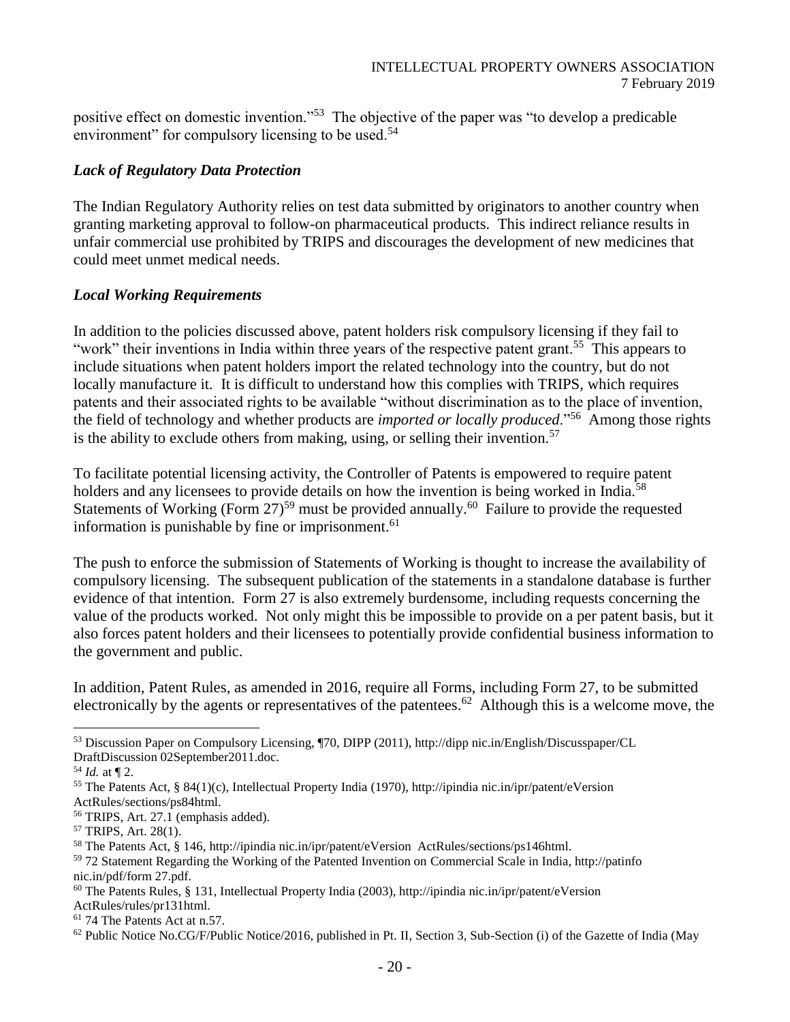positive effect on domestic invention."<sup>53</sup> The objective of the paper was "to develop a predicable environment" for compulsory licensing to be used.<sup>54</sup>

### *Lack of Regulatory Data Protection*

The Indian Regulatory Authority relies on test data submitted by originators to another country when granting marketing approval to follow-on pharmaceutical products. This indirect reliance results in unfair commercial use prohibited by TRIPS and discourages the development of new medicines that could meet unmet medical needs.

#### *Local Working Requirements*

In addition to the policies discussed above, patent holders risk compulsory licensing if they fail to "work" their inventions in India within three years of the respective patent grant.<sup>55</sup> This appears to include situations when patent holders import the related technology into the country, but do not locally manufacture it. It is difficult to understand how this complies with TRIPS, which requires patents and their associated rights to be available "without discrimination as to the place of invention, the field of technology and whether products are *imported or locally produced*."<sup>56</sup> Among those rights is the ability to exclude others from making, using, or selling their invention.<sup>57</sup>

To facilitate potential licensing activity, the Controller of Patents is empowered to require patent holders and any licensees to provide details on how the invention is being worked in India.<sup>58</sup> Statements of Working (Form 27)<sup>59</sup> must be provided annually.<sup>60</sup> Failure to provide the requested information is punishable by fine or imprisonment.<sup>61</sup>

The push to enforce the submission of Statements of Working is thought to increase the availability of compulsory licensing. The subsequent publication of the statements in a standalone database is further evidence of that intention. Form 27 is also extremely burdensome, including requests concerning the value of the products worked. Not only might this be impossible to provide on a per patent basis, but it also forces patent holders and their licensees to potentially provide confidential business information to the government and public.

In addition, Patent Rules, as amended in 2016, require all Forms, including Form 27, to be submitted electronically by the agents or representatives of the patentees.<sup>62</sup> Although this is a welcome move, the

<sup>53</sup> Discussion Paper on Compulsory Licensing, ¶70, DIPP (2011), http://dipp nic.in/English/Discusspaper/CL DraftDiscussion 02September2011.doc.

 $54$  *Id.* at ¶ 2.

<sup>55</sup> The Patents Act, § 84(1)(c), Intellectual Property India (1970), http://ipindia nic.in/ipr/patent/eVersion ActRules/sections/ps84html.

<sup>56</sup> TRIPS, Art. 27.1 (emphasis added).

<sup>57</sup> TRIPS, Art. 28(1).

<sup>58</sup> The Patents Act, § 146, http://ipindia nic.in/ipr/patent/eVersion ActRules/sections/ps146html.

<sup>59</sup> 72 Statement Regarding the Working of the Patented Invention on Commercial Scale in India, http://patinfo nic.in/pdf/form 27.pdf.

<sup>60</sup> The Patents Rules, § 131, Intellectual Property India (2003), http://ipindia nic.in/ipr/patent/eVersion ActRules/rules/pr131html.

<sup>61</sup> 74 The Patents Act at n.57.

 $62$  Public Notice No.CG/F/Public Notice/2016, published in Pt. II, Section 3, Sub-Section (i) of the Gazette of India (May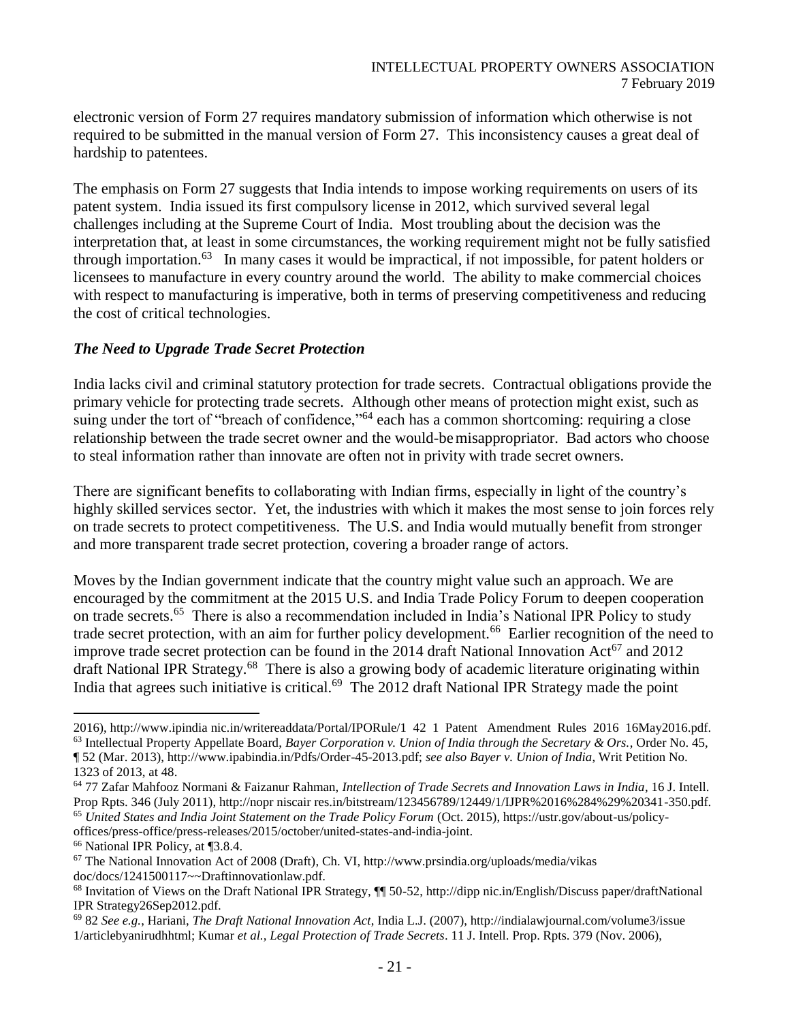electronic version of Form 27 requires mandatory submission of information which otherwise is not required to be submitted in the manual version of Form 27. This inconsistency causes a great deal of hardship to patentees.

The emphasis on Form 27 suggests that India intends to impose working requirements on users of its patent system. India issued its first compulsory license in 2012, which survived several legal challenges including at the Supreme Court of India. Most troubling about the decision was the interpretation that, at least in some circumstances, the working requirement might not be fully satisfied through importation.<sup>63</sup> In many cases it would be impractical, if not impossible, for patent holders or licensees to manufacture in every country around the world. The ability to make commercial choices with respect to manufacturing is imperative, both in terms of preserving competitiveness and reducing the cost of critical technologies.

#### *The Need to Upgrade Trade Secret Protection*

India lacks civil and criminal statutory protection for trade secrets. Contractual obligations provide the primary vehicle for protecting trade secrets. Although other means of protection might exist, such as suing under the tort of "breach of confidence,"<sup>64</sup> each has a common shortcoming: requiring a close relationship between the trade secret owner and the would-bemisappropriator. Bad actors who choose to steal information rather than innovate are often not in privity with trade secret owners.

There are significant benefits to collaborating with Indian firms, especially in light of the country's highly skilled services sector. Yet, the industries with which it makes the most sense to join forces rely on trade secrets to protect competitiveness. The U.S. and India would mutually benefit from stronger and more transparent trade secret protection, covering a broader range of actors.

Moves by the Indian government indicate that the country might value such an approach. We are encouraged by the commitment at the 2015 U.S. and India Trade Policy Forum to deepen cooperation on trade secrets.<sup>65</sup> There is also a recommendation included in India's National IPR Policy to study trade secret protection, with an aim for further policy development.<sup>66</sup> Earlier recognition of the need to improve trade secret protection can be found in the 2014 draft National Innovation Act<sup>67</sup> and 2012 draft National IPR Strategy.<sup>68</sup> There is also a growing body of academic literature originating within India that agrees such initiative is critical.<sup>69</sup> The 2012 draft National IPR Strategy made the point

<sup>2016),</sup> http://www.ipindia nic.in/writereaddata/Portal/IPORule/1 42 1 Patent Amendment Rules 2016 16May2016.pdf.  $63$  Intellectual Property Appellate Board, *Bayer Corporation v. Union of India through the Secretary & Ors.*, Order No. 45, ¶ 52 (Mar. 2013), http://www.ipabindia.in/Pdfs/Order-45-2013.pdf; *see also Bayer v. Union of India*, Writ Petition No. 1323 of 2013, at 48.

<sup>64</sup> 77 Zafar Mahfooz Normani & Faizanur Rahman, *Intellection of Trade Secrets and Innovation Laws in India*, 16 J. Intell. Prop Rpts. 346 (July 2011), http://nopr niscair res.in/bitstream/123456789/12449/1/IJPR%2016%284%29%20341-350.pdf. <sup>65</sup> *United States and India Joint Statement on the Trade Policy Forum* (Oct. 2015), https://ustr.gov/about-us/policy-

offices/press-office/press-releases/2015/october/united-states-and-india-joint.

<sup>66</sup> National IPR Policy, at ¶3.8.4.

 $67$  The National Innovation Act of 2008 (Draft), Ch. VI, http://www.prsindia.org/uploads/media/vikas doc/docs/1241500117~~Draftinnovationlaw.pdf.

<sup>68</sup> Invitation of Views on the Draft National IPR Strategy, ¶¶ 50-52, http://dipp nic.in/English/Discuss paper/draftNational IPR Strategy26Sep2012.pdf.

<sup>69</sup> 82 *See e.g.*, Hariani, *The Draft National Innovation Act*, India L.J. (2007), http://indialawjournal.com/volume3/issue 1/articlebyanirudhhtml; Kumar *et al., Legal Protection of Trade Secrets*. 11 J. Intell. Prop. Rpts. 379 (Nov. 2006),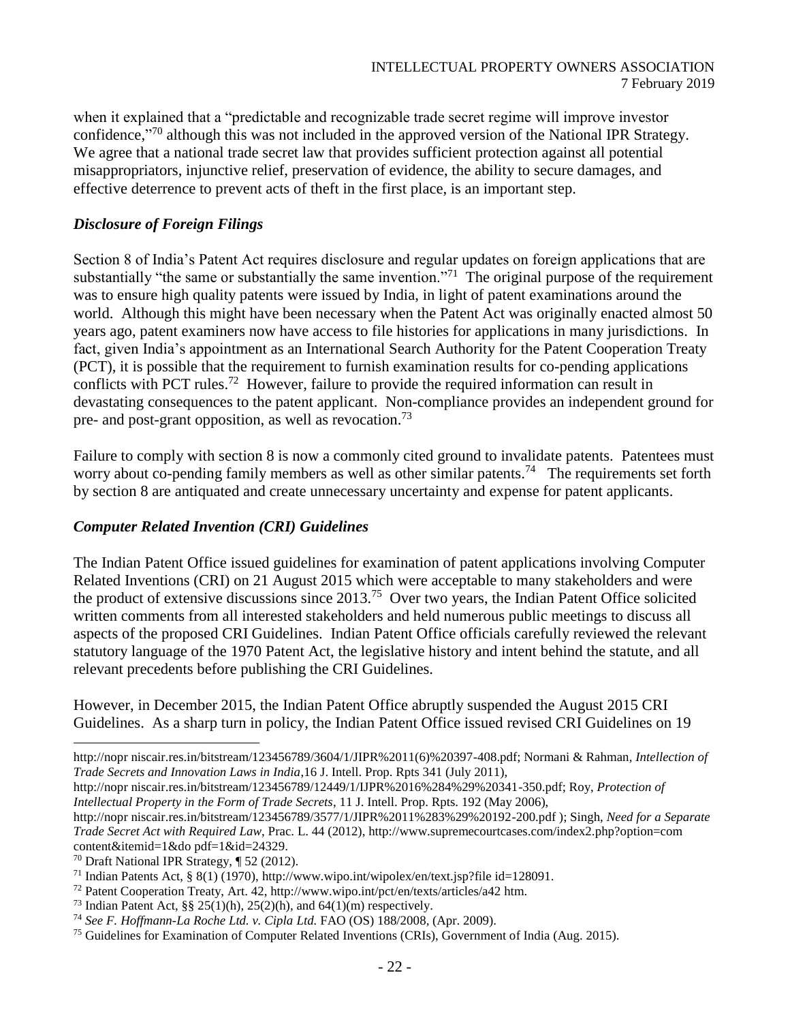when it explained that a "predictable and recognizable trade secret regime will improve investor confidence,"<sup>70</sup> although this was not included in the approved version of the National IPR Strategy. We agree that a national trade secret law that provides sufficient protection against all potential misappropriators, injunctive relief, preservation of evidence, the ability to secure damages, and effective deterrence to prevent acts of theft in the first place, is an important step.

#### *Disclosure of Foreign Filings*

Section 8 of India's Patent Act requires disclosure and regular updates on foreign applications that are substantially "the same or substantially the same invention."<sup>71</sup> The original purpose of the requirement was to ensure high quality patents were issued by India, in light of patent examinations around the world. Although this might have been necessary when the Patent Act was originally enacted almost 50 years ago, patent examiners now have access to file histories for applications in many jurisdictions. In fact, given India's appointment as an International Search Authority for the Patent Cooperation Treaty (PCT), it is possible that the requirement to furnish examination results for co-pending applications conflicts with PCT rules.<sup>72</sup> However, failure to provide the required information can result in devastating consequences to the patent applicant. Non-compliance provides an independent ground for pre- and post-grant opposition, as well as revocation.<sup>73</sup>

Failure to comply with section 8 is now a commonly cited ground to invalidate patents. Patentees must worry about co-pending family members as well as other similar patents.<sup>74</sup> The requirements set forth by section 8 are antiquated and create unnecessary uncertainty and expense for patent applicants.

### *Computer Related Invention (CRI) Guidelines*

The Indian Patent Office issued guidelines for examination of patent applications involving Computer Related Inventions (CRI) on 21 August 2015 which were acceptable to many stakeholders and were the product of extensive discussions since  $2013<sup>75</sup>$  Over two years, the Indian Patent Office solicited written comments from all interested stakeholders and held numerous public meetings to discuss all aspects of the proposed CRI Guidelines. Indian Patent Office officials carefully reviewed the relevant statutory language of the 1970 Patent Act, the legislative history and intent behind the statute, and all relevant precedents before publishing the CRI Guidelines.

However, in December 2015, the Indian Patent Office abruptly suspended the August 2015 CRI Guidelines. As a sharp turn in policy, the Indian Patent Office issued revised CRI Guidelines on 19

http://nopr niscair.res.in/bitstream/123456789/3604/1/JIPR%2011(6)%20397-408.pdf; Normani & Rahman*, Intellection of Trade Secrets and Innovation Laws in India*,16 J. Intell. Prop. Rpts 341 (July 2011),

http://nopr niscair.res.in/bitstream/123456789/12449/1/IJPR%2016%284%29%20341-350.pdf; Roy, *Protection of Intellectual Property in the Form of Trade Secrets*, 11 J. Intell. Prop. Rpts. 192 (May 2006),

http://nopr niscair.res.in/bitstream/123456789/3577/1/JIPR%2011%283%29%20192-200.pdf ); Singh, *Need for a Separate Trade Secret Act with Required Law*, Prac. L. 44 (2012), http://www.supremecourtcases.com/index2.php?option=com content&itemid=1&do pdf=1&id=24329.

 $70$  Draft National IPR Strategy,  $\P$  52 (2012).

<sup>71</sup> Indian Patents Act, § 8(1) (1970), http://www.wipo.int/wipolex/en/text.jsp?file id=128091.

<sup>72</sup> Patent Cooperation Treaty, Art. 42, http://www.wipo.int/pct/en/texts/articles/a42 htm.

<sup>&</sup>lt;sup>73</sup> Indian Patent Act, §§  $25(1)(h)$ ,  $25(2)(h)$ , and  $64(1)(m)$  respectively.

<sup>74</sup> *See F. Hoffmann-La Roche Ltd. v. Cipla Ltd.* FAO (OS) 188/2008, (Apr. 2009).

<sup>75</sup> Guidelines for Examination of Computer Related Inventions (CRIs), Government of India (Aug. 2015).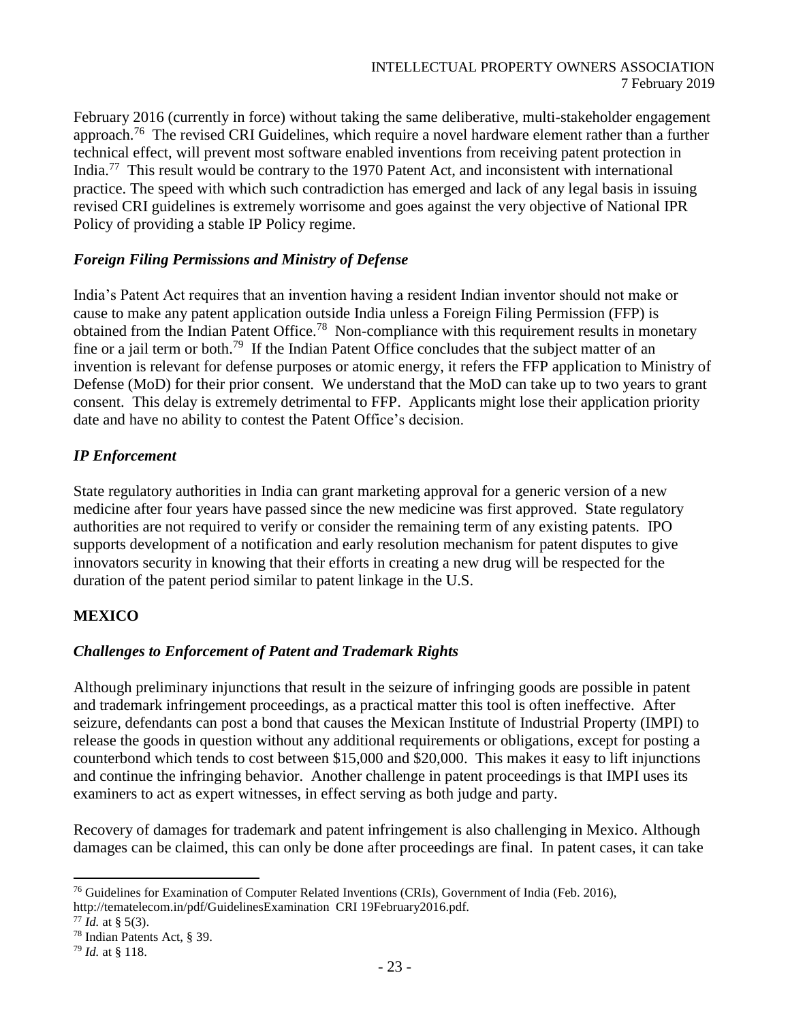February 2016 (currently in force) without taking the same deliberative, multi-stakeholder engagement approach.<sup>76</sup> The revised CRI Guidelines, which require a novel hardware element rather than a further technical effect, will prevent most software enabled inventions from receiving patent protection in India.<sup>77</sup> This result would be contrary to the 1970 Patent Act, and inconsistent with international practice. The speed with which such contradiction has emerged and lack of any legal basis in issuing revised CRI guidelines is extremely worrisome and goes against the very objective of National IPR Policy of providing a stable IP Policy regime.

#### *Foreign Filing Permissions and Ministry of Defense*

India's Patent Act requires that an invention having a resident Indian inventor should not make or cause to make any patent application outside India unless a Foreign Filing Permission (FFP) is obtained from the Indian Patent Office.<sup>78</sup> Non-compliance with this requirement results in monetary fine or a jail term or both.<sup>79</sup> If the Indian Patent Office concludes that the subject matter of an invention is relevant for defense purposes or atomic energy, it refers the FFP application to Ministry of Defense (MoD) for their prior consent. We understand that the MoD can take up to two years to grant consent. This delay is extremely detrimental to FFP. Applicants might lose their application priority date and have no ability to contest the Patent Office's decision.

#### *IP Enforcement*

State regulatory authorities in India can grant marketing approval for a generic version of a new medicine after four years have passed since the new medicine was first approved. State regulatory authorities are not required to verify or consider the remaining term of any existing patents. IPO supports development of a notification and early resolution mechanism for patent disputes to give innovators security in knowing that their efforts in creating a new drug will be respected for the duration of the patent period similar to patent linkage in the U.S.

### **MEXICO**

### *Challenges to Enforcement of Patent and Trademark Rights*

Although preliminary injunctions that result in the seizure of infringing goods are possible in patent and trademark infringement proceedings, as a practical matter this tool is often ineffective. After seizure, defendants can post a bond that causes the Mexican Institute of Industrial Property (IMPI) to release the goods in question without any additional requirements or obligations, except for posting a counterbond which tends to cost between \$15,000 and \$20,000. This makes it easy to lift injunctions and continue the infringing behavior. Another challenge in patent proceedings is that IMPI uses its examiners to act as expert witnesses, in effect serving as both judge and party.

Recovery of damages for trademark and patent infringement is also challenging in Mexico. Although damages can be claimed, this can only be done after proceedings are final. In patent cases, it can take

l  $76$  Guidelines for Examination of Computer Related Inventions (CRIs), Government of India (Feb. 2016), http://tematelecom.in/pdf/GuidelinesExamination CRI 19February2016.pdf.

 $77$  *Id.* at § 5(3).

<sup>78</sup> Indian Patents Act, § 39.

<sup>79</sup> *Id.* at § 118.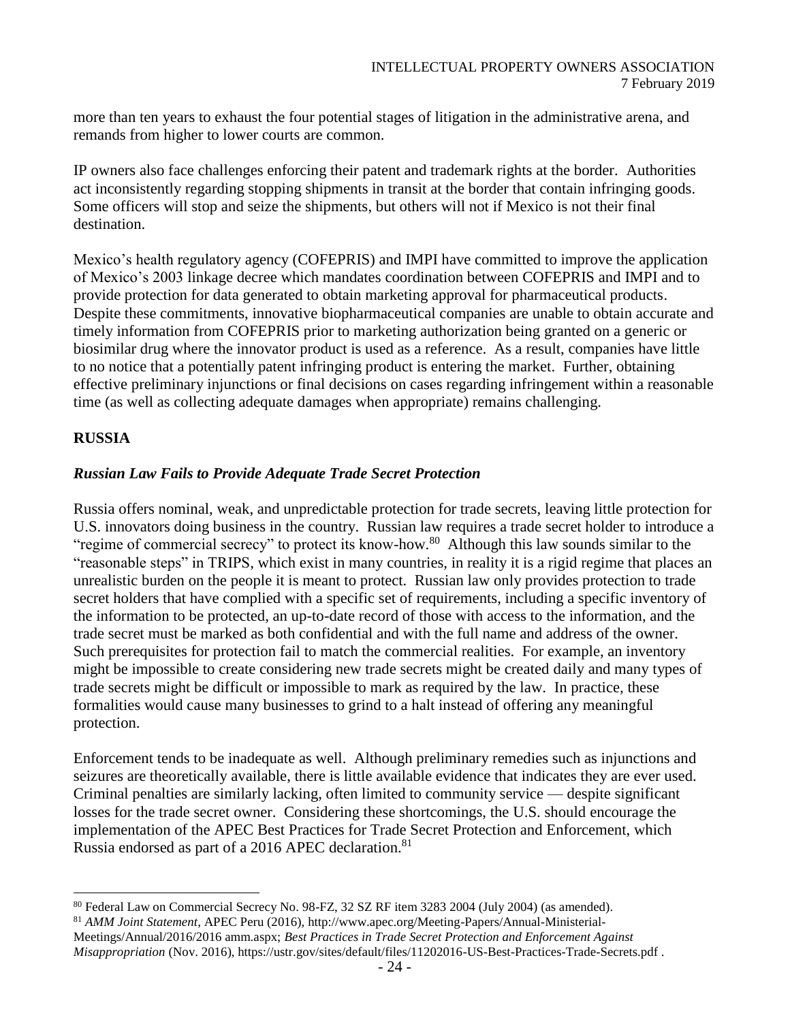more than ten years to exhaust the four potential stages of litigation in the administrative arena, and remands from higher to lower courts are common.

IP owners also face challenges enforcing their patent and trademark rights at the border. Authorities act inconsistently regarding stopping shipments in transit at the border that contain infringing goods. Some officers will stop and seize the shipments, but others will not if Mexico is not their final destination.

Mexico's health regulatory agency (COFEPRIS) and IMPI have committed to improve the application of Mexico's 2003 linkage decree which mandates coordination between COFEPRIS and IMPI and to provide protection for data generated to obtain marketing approval for pharmaceutical products. Despite these commitments, innovative biopharmaceutical companies are unable to obtain accurate and timely information from COFEPRIS prior to marketing authorization being granted on a generic or biosimilar drug where the innovator product is used as a reference. As a result, companies have little to no notice that a potentially patent infringing product is entering the market. Further, obtaining effective preliminary injunctions or final decisions on cases regarding infringement within a reasonable time (as well as collecting adequate damages when appropriate) remains challenging.

### **RUSSIA**

#### *Russian Law Fails to Provide Adequate Trade Secret Protection*

Russia offers nominal, weak, and unpredictable protection for trade secrets, leaving little protection for U.S. innovators doing business in the country. Russian law requires a trade secret holder to introduce a "regime of commercial secrecy" to protect its know-how.<sup>80</sup> Although this law sounds similar to the "reasonable steps" in TRIPS, which exist in many countries, in reality it is a rigid regime that places an unrealistic burden on the people it is meant to protect. Russian law only provides protection to trade secret holders that have complied with a specific set of requirements, including a specific inventory of the information to be protected, an up-to-date record of those with access to the information, and the trade secret must be marked as both confidential and with the full name and address of the owner. Such prerequisites for protection fail to match the commercial realities. For example, an inventory might be impossible to create considering new trade secrets might be created daily and many types of trade secrets might be difficult or impossible to mark as required by the law. In practice, these formalities would cause many businesses to grind to a halt instead of offering any meaningful protection.

Enforcement tends to be inadequate as well. Although preliminary remedies such as injunctions and seizures are theoretically available, there is little available evidence that indicates they are ever used. Criminal penalties are similarly lacking, often limited to community service — despite significant losses for the trade secret owner. Considering these shortcomings, the U.S. should encourage the implementation of the APEC Best Practices for Trade Secret Protection and Enforcement, which Russia endorsed as part of a 2016 APEC declaration.<sup>81</sup>

l <sup>80</sup> Federal Law on Commercial Secrecy No. 98-FZ, 32 SZ RF item 3283 2004 (July 2004) (as amended).

<sup>81</sup> *AMM Joint Statement*, APEC Peru (2016), http://www.apec.org/Meeting-Papers/Annual-Ministerial-

Meetings/Annual/2016/2016 amm.aspx; *Best Practices in Trade Secret Protection and Enforcement Against Misappropriation* (Nov. 2016), https://ustr.gov/sites/default/files/11202016-US-Best-Practices-Trade-Secrets.pdf .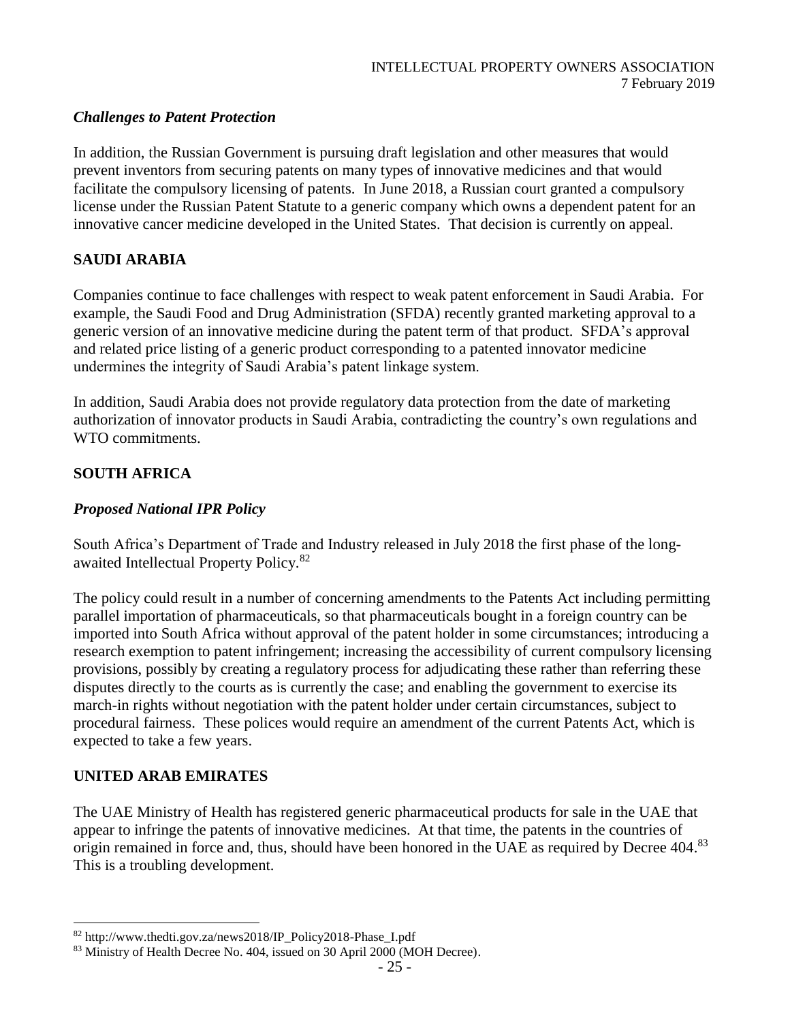### *Challenges to Patent Protection*

In addition, the Russian Government is pursuing draft legislation and other measures that would prevent inventors from securing patents on many types of innovative medicines and that would facilitate the compulsory licensing of patents. In June 2018, a Russian court granted a compulsory license under the Russian Patent Statute to a generic company which owns a dependent patent for an innovative cancer medicine developed in the United States. That decision is currently on appeal.

## **SAUDI ARABIA**

Companies continue to face challenges with respect to weak patent enforcement in Saudi Arabia. For example, the Saudi Food and Drug Administration (SFDA) recently granted marketing approval to a generic version of an innovative medicine during the patent term of that product. SFDA's approval and related price listing of a generic product corresponding to a patented innovator medicine undermines the integrity of Saudi Arabia's patent linkage system.

In addition, Saudi Arabia does not provide regulatory data protection from the date of marketing authorization of innovator products in Saudi Arabia, contradicting the country's own regulations and WTO commitments.

### **SOUTH AFRICA**

### *Proposed National IPR Policy*

South Africa's Department of Trade and Industry released in July 2018 the first phase of the longawaited Intellectual Property Policy.<sup>82</sup>

The policy could result in a number of concerning amendments to the Patents Act including permitting parallel importation of pharmaceuticals, so that pharmaceuticals bought in a foreign country can be imported into South Africa without approval of the patent holder in some circumstances; introducing a research exemption to patent infringement; increasing the accessibility of current compulsory licensing provisions, possibly by creating a regulatory process for adjudicating these rather than referring these disputes directly to the courts as is currently the case; and enabling the government to exercise its march-in rights without negotiation with the patent holder under certain circumstances, subject to procedural fairness. These polices would require an amendment of the current Patents Act, which is expected to take a few years.

### **UNITED ARAB EMIRATES**

The UAE Ministry of Health has registered generic pharmaceutical products for sale in the UAE that appear to infringe the patents of innovative medicines. At that time, the patents in the countries of origin remained in force and, thus, should have been honored in the UAE as required by Decree 404.<sup>83</sup> This is a troubling development.

l <sup>82</sup> http://www.thedti.gov.za/news2018/IP\_Policy2018-Phase\_I.pdf

<sup>&</sup>lt;sup>83</sup> Ministry of Health Decree No. 404, issued on 30 April 2000 (MOH Decree).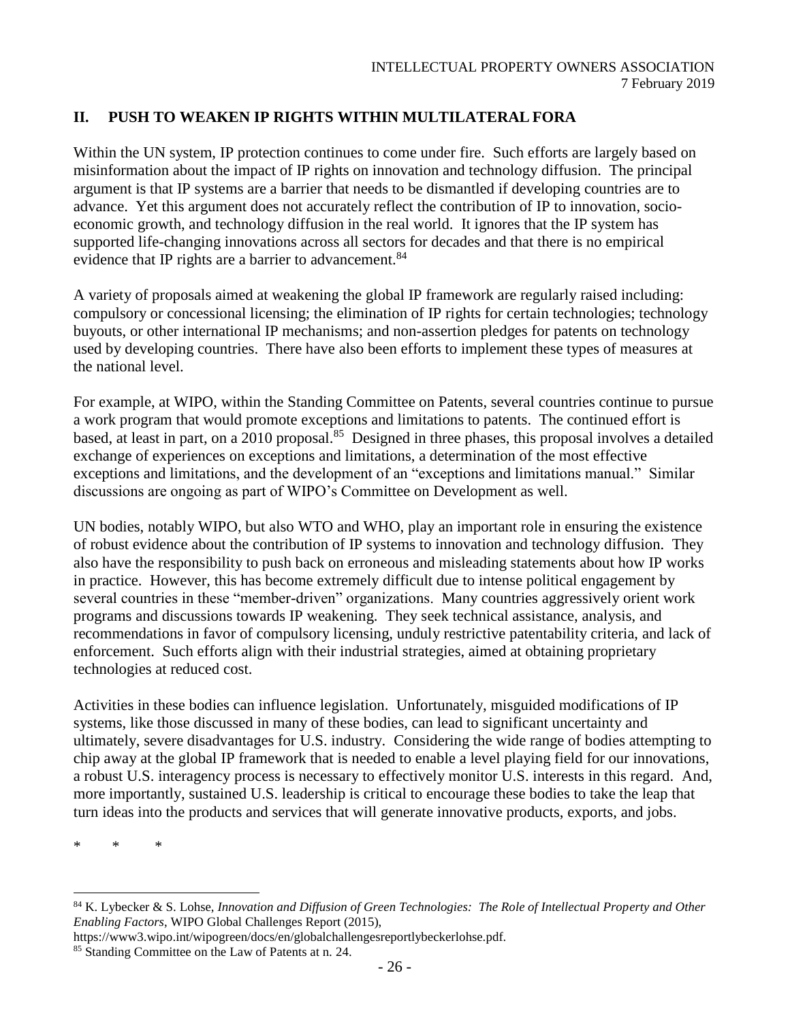# **II. PUSH TO WEAKEN IP RIGHTS WITHIN MULTILATERAL FORA**

Within the UN system, IP protection continues to come under fire. Such efforts are largely based on misinformation about the impact of IP rights on innovation and technology diffusion. The principal argument is that IP systems are a barrier that needs to be dismantled if developing countries are to advance. Yet this argument does not accurately reflect the contribution of IP to innovation, socioeconomic growth, and technology diffusion in the real world. It ignores that the IP system has supported life-changing innovations across all sectors for decades and that there is no empirical evidence that IP rights are a barrier to advancement.<sup>84</sup>

A variety of proposals aimed at weakening the global IP framework are regularly raised including: compulsory or concessional licensing; the elimination of IP rights for certain technologies; technology buyouts, or other international IP mechanisms; and non-assertion pledges for patents on technology used by developing countries. There have also been efforts to implement these types of measures at the national level.

For example, at WIPO, within the Standing Committee on Patents, several countries continue to pursue a work program that would promote exceptions and limitations to patents. The continued effort is based, at least in part, on a 2010 proposal.<sup>85</sup> Designed in three phases, this proposal involves a detailed exchange of experiences on exceptions and limitations, a determination of the most effective exceptions and limitations, and the development of an "exceptions and limitations manual." Similar discussions are ongoing as part of WIPO's Committee on Development as well.

UN bodies, notably WIPO, but also WTO and WHO, play an important role in ensuring the existence of robust evidence about the contribution of IP systems to innovation and technology diffusion. They also have the responsibility to push back on erroneous and misleading statements about how IP works in practice. However, this has become extremely difficult due to intense political engagement by several countries in these "member-driven" organizations. Many countries aggressively orient work programs and discussions towards IP weakening. They seek technical assistance, analysis, and recommendations in favor of compulsory licensing, unduly restrictive patentability criteria, and lack of enforcement. Such efforts align with their industrial strategies, aimed at obtaining proprietary technologies at reduced cost.

Activities in these bodies can influence legislation. Unfortunately, misguided modifications of IP systems, like those discussed in many of these bodies, can lead to significant uncertainty and ultimately, severe disadvantages for U.S. industry. Considering the wide range of bodies attempting to chip away at the global IP framework that is needed to enable a level playing field for our innovations, a robust U.S. interagency process is necessary to effectively monitor U.S. interests in this regard. And, more importantly, sustained U.S. leadership is critical to encourage these bodies to take the leap that turn ideas into the products and services that will generate innovative products, exports, and jobs.

\* \* \*

<sup>84</sup> K. Lybecker & S. Lohse, *Innovation and Diffusion of Green Technologies: The Role of Intellectual Property and Other Enabling Factors*, WIPO Global Challenges Report (2015),

https://www3.wipo.int/wipogreen/docs/en/globalchallengesreportlybeckerlohse.pdf.

<sup>85</sup> Standing Committee on the Law of Patents at n. 24.